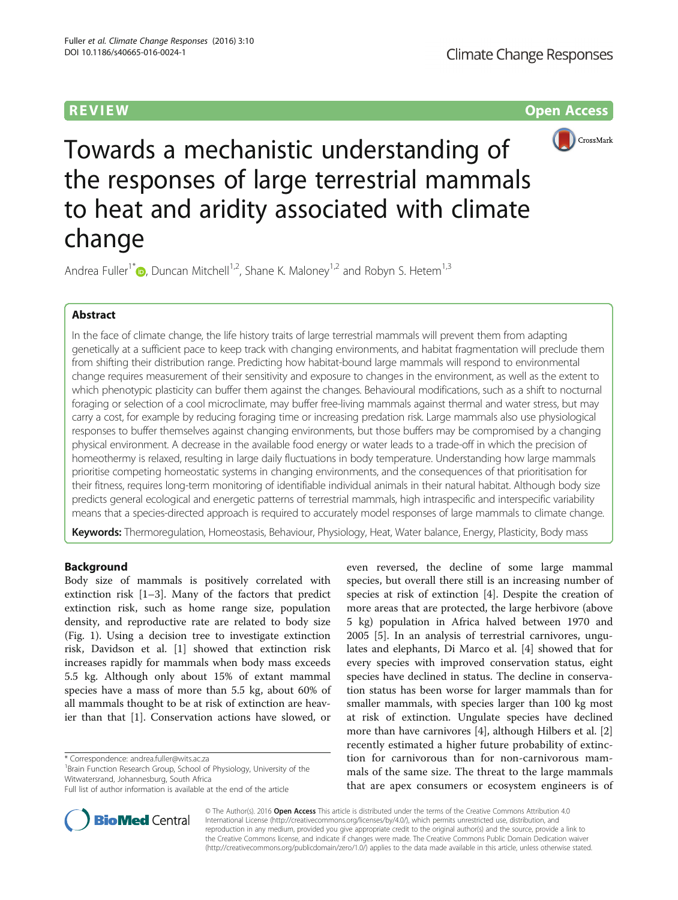**REVIEW CONSTRUCTION CONSTRUCTION CONSTRUCTS** 



Towards a mechanistic understanding of the responses of large terrestrial mammals to heat and aridity associated with climate change

Andrea Fuller<sup>1[\\*](http://orcid.org/0000-0001-6370-8151)</sup>  $\bullet$ , Duncan Mitchell<sup>1,2</sup>, Shane K. Maloney<sup>1,2</sup> and Robyn S. Hetem<sup>1,3</sup>

# Abstract

In the face of climate change, the life history traits of large terrestrial mammals will prevent them from adapting genetically at a sufficient pace to keep track with changing environments, and habitat fragmentation will preclude them from shifting their distribution range. Predicting how habitat-bound large mammals will respond to environmental change requires measurement of their sensitivity and exposure to changes in the environment, as well as the extent to which phenotypic plasticity can buffer them against the changes. Behavioural modifications, such as a shift to nocturnal foraging or selection of a cool microclimate, may buffer free-living mammals against thermal and water stress, but may carry a cost, for example by reducing foraging time or increasing predation risk. Large mammals also use physiological responses to buffer themselves against changing environments, but those buffers may be compromised by a changing physical environment. A decrease in the available food energy or water leads to a trade-off in which the precision of homeothermy is relaxed, resulting in large daily fluctuations in body temperature. Understanding how large mammals prioritise competing homeostatic systems in changing environments, and the consequences of that prioritisation for their fitness, requires long-term monitoring of identifiable individual animals in their natural habitat. Although body size predicts general ecological and energetic patterns of terrestrial mammals, high intraspecific and interspecific variability means that a species-directed approach is required to accurately model responses of large mammals to climate change.

Keywords: Thermoregulation, Homeostasis, Behaviour, Physiology, Heat, Water balance, Energy, Plasticity, Body mass

# **Background**

Body size of mammals is positively correlated with extinction risk [\[1](#page-15-0)–[3\]](#page-15-0). Many of the factors that predict extinction risk, such as home range size, population density, and reproductive rate are related to body size (Fig. [1\)](#page-1-0). Using a decision tree to investigate extinction risk, Davidson et al. [[1\]](#page-15-0) showed that extinction risk increases rapidly for mammals when body mass exceeds 5.5 kg. Although only about 15% of extant mammal species have a mass of more than 5.5 kg, about 60% of all mammals thought to be at risk of extinction are heavier than that [[1\]](#page-15-0). Conservation actions have slowed, or

\* Correspondence: [andrea.fuller@wits.ac.za](mailto:andrea.fuller@wits.ac.za) <sup>1</sup>

**BioMed Central** 

<sup>1</sup>Brain Function Research Group, School of Physiology, University of the Witwatersrand, Johannesburg, South Africa



© The Author(s). 2016 Open Access This article is distributed under the terms of the Creative Commons Attribution 4.0 International License [\(http://creativecommons.org/licenses/by/4.0/](http://creativecommons.org/licenses/by/4.0/)), which permits unrestricted use, distribution, and reproduction in any medium, provided you give appropriate credit to the original author(s) and the source, provide a link to the Creative Commons license, and indicate if changes were made. The Creative Commons Public Domain Dedication waiver [\(http://creativecommons.org/publicdomain/zero/1.0/](http://creativecommons.org/publicdomain/zero/1.0/)) applies to the data made available in this article, unless otherwise stated.

Full list of author information is available at the end of the article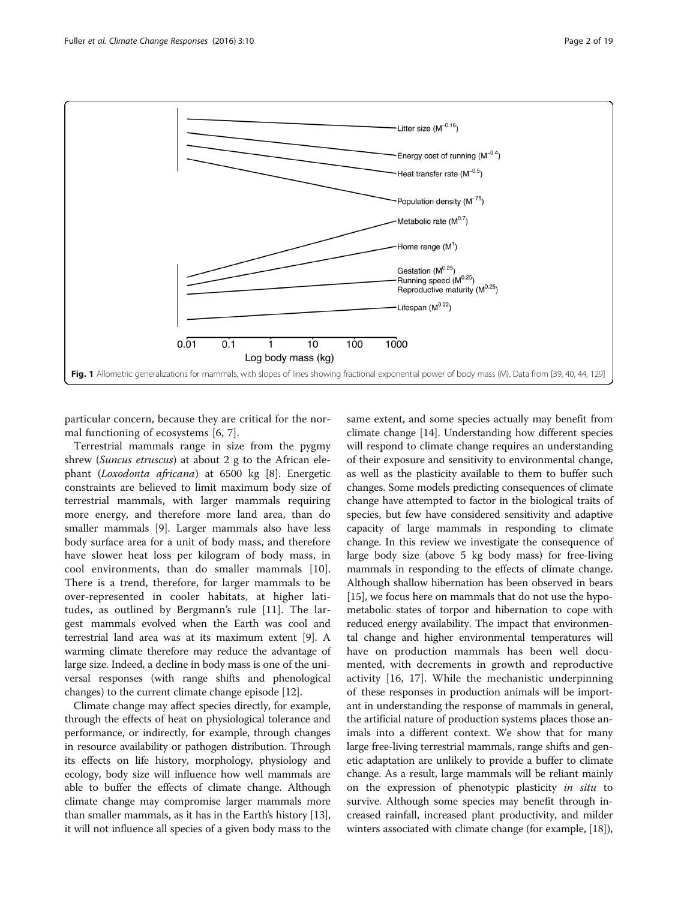

<span id="page-1-0"></span>

particular concern, because they are critical for the normal functioning of ecosystems [[6, 7\]](#page-15-0).

Terrestrial mammals range in size from the pygmy shrew (Suncus etruscus) at about 2 g to the African elephant (Loxodonta africana) at 6500 kg [[8](#page-15-0)]. Energetic constraints are believed to limit maximum body size of terrestrial mammals, with larger mammals requiring more energy, and therefore more land area, than do smaller mammals [\[9](#page-15-0)]. Larger mammals also have less body surface area for a unit of body mass, and therefore have slower heat loss per kilogram of body mass, in cool environments, than do smaller mammals [\[10](#page-15-0)]. There is a trend, therefore, for larger mammals to be over-represented in cooler habitats, at higher latitudes, as outlined by Bergmann's rule [[11\]](#page-15-0). The largest mammals evolved when the Earth was cool and terrestrial land area was at its maximum extent [[9\]](#page-15-0). A warming climate therefore may reduce the advantage of large size. Indeed, a decline in body mass is one of the universal responses (with range shifts and phenological changes) to the current climate change episode [[12](#page-15-0)].

Climate change may affect species directly, for example, through the effects of heat on physiological tolerance and performance, or indirectly, for example, through changes in resource availability or pathogen distribution. Through its effects on life history, morphology, physiology and ecology, body size will influence how well mammals are able to buffer the effects of climate change. Although climate change may compromise larger mammals more than smaller mammals, as it has in the Earth's history [[13](#page-15-0)], it will not influence all species of a given body mass to the

same extent, and some species actually may benefit from climate change [[14](#page-15-0)]. Understanding how different species will respond to climate change requires an understanding of their exposure and sensitivity to environmental change, as well as the plasticity available to them to buffer such changes. Some models predicting consequences of climate change have attempted to factor in the biological traits of species, but few have considered sensitivity and adaptive capacity of large mammals in responding to climate change. In this review we investigate the consequence of large body size (above 5 kg body mass) for free-living mammals in responding to the effects of climate change. Although shallow hibernation has been observed in bears [[15](#page-15-0)], we focus here on mammals that do not use the hypometabolic states of torpor and hibernation to cope with reduced energy availability. The impact that environmental change and higher environmental temperatures will have on production mammals has been well documented, with decrements in growth and reproductive activity [[16, 17\]](#page-15-0). While the mechanistic underpinning of these responses in production animals will be important in understanding the response of mammals in general, the artificial nature of production systems places those animals into a different context. We show that for many large free-living terrestrial mammals, range shifts and genetic adaptation are unlikely to provide a buffer to climate change. As a result, large mammals will be reliant mainly on the expression of phenotypic plasticity in situ to survive. Although some species may benefit through increased rainfall, increased plant productivity, and milder winters associated with climate change (for example, [[18](#page-15-0)]),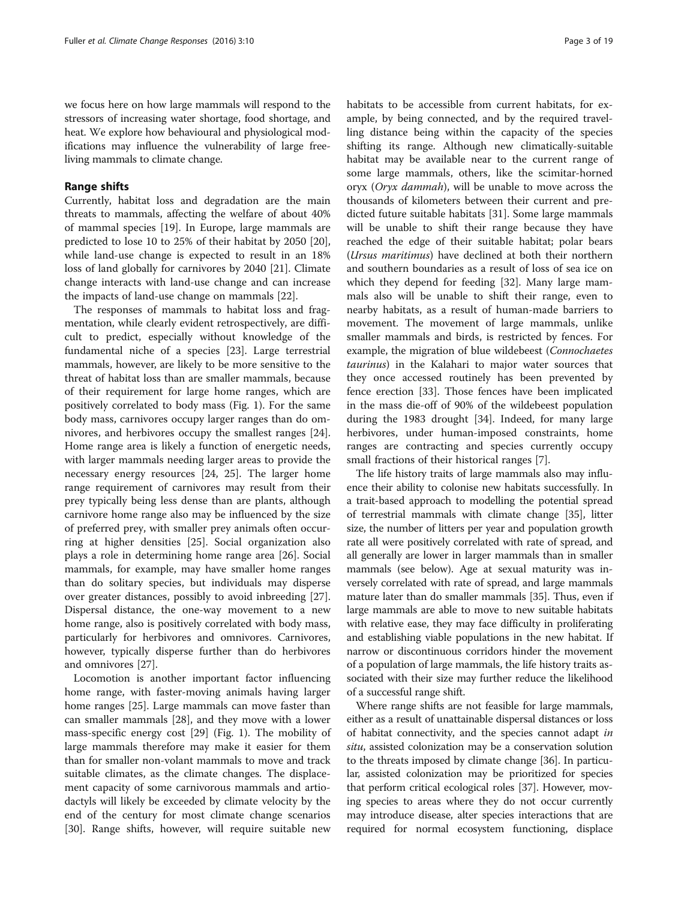we focus here on how large mammals will respond to the stressors of increasing water shortage, food shortage, and heat. We explore how behavioural and physiological modifications may influence the vulnerability of large freeliving mammals to climate change.

# Range shifts

Currently, habitat loss and degradation are the main threats to mammals, affecting the welfare of about 40% of mammal species [[19\]](#page-15-0). In Europe, large mammals are predicted to lose 10 to 25% of their habitat by 2050 [\[20](#page-15-0)], while land-use change is expected to result in an 18% loss of land globally for carnivores by 2040 [\[21](#page-15-0)]. Climate change interacts with land-use change and can increase the impacts of land-use change on mammals [[22\]](#page-15-0).

The responses of mammals to habitat loss and fragmentation, while clearly evident retrospectively, are difficult to predict, especially without knowledge of the fundamental niche of a species [[23\]](#page-15-0). Large terrestrial mammals, however, are likely to be more sensitive to the threat of habitat loss than are smaller mammals, because of their requirement for large home ranges, which are positively correlated to body mass (Fig. [1](#page-1-0)). For the same body mass, carnivores occupy larger ranges than do omnivores, and herbivores occupy the smallest ranges [\[24](#page-15-0)]. Home range area is likely a function of energetic needs, with larger mammals needing larger areas to provide the necessary energy resources [[24, 25\]](#page-15-0). The larger home range requirement of carnivores may result from their prey typically being less dense than are plants, although carnivore home range also may be influenced by the size of preferred prey, with smaller prey animals often occurring at higher densities [[25](#page-15-0)]. Social organization also plays a role in determining home range area [[26\]](#page-15-0). Social mammals, for example, may have smaller home ranges than do solitary species, but individuals may disperse over greater distances, possibly to avoid inbreeding [\[27](#page-15-0)]. Dispersal distance, the one-way movement to a new home range, also is positively correlated with body mass, particularly for herbivores and omnivores. Carnivores, however, typically disperse further than do herbivores and omnivores [[27](#page-15-0)].

Locomotion is another important factor influencing home range, with faster-moving animals having larger home ranges [[25\]](#page-15-0). Large mammals can move faster than can smaller mammals [\[28\]](#page-15-0), and they move with a lower mass-specific energy cost [\[29](#page-15-0)] (Fig. [1\)](#page-1-0). The mobility of large mammals therefore may make it easier for them than for smaller non-volant mammals to move and track suitable climates, as the climate changes. The displacement capacity of some carnivorous mammals and artiodactyls will likely be exceeded by climate velocity by the end of the century for most climate change scenarios [[30\]](#page-15-0). Range shifts, however, will require suitable new habitats to be accessible from current habitats, for example, by being connected, and by the required travelling distance being within the capacity of the species shifting its range. Although new climatically-suitable habitat may be available near to the current range of some large mammals, others, like the scimitar-horned oryx (Oryx dammah), will be unable to move across the thousands of kilometers between their current and predicted future suitable habitats [[31](#page-15-0)]. Some large mammals will be unable to shift their range because they have reached the edge of their suitable habitat; polar bears (Ursus maritimus) have declined at both their northern and southern boundaries as a result of loss of sea ice on which they depend for feeding [[32\]](#page-15-0). Many large mammals also will be unable to shift their range, even to nearby habitats, as a result of human-made barriers to movement. The movement of large mammals, unlike smaller mammals and birds, is restricted by fences. For example, the migration of blue wildebeest (Connochaetes taurinus) in the Kalahari to major water sources that they once accessed routinely has been prevented by fence erection [\[33\]](#page-15-0). Those fences have been implicated in the mass die-off of 90% of the wildebeest population during the 1983 drought [[34\]](#page-15-0). Indeed, for many large herbivores, under human-imposed constraints, home ranges are contracting and species currently occupy small fractions of their historical ranges [\[7](#page-15-0)].

The life history traits of large mammals also may influence their ability to colonise new habitats successfully. In a trait-based approach to modelling the potential spread of terrestrial mammals with climate change [\[35](#page-15-0)], litter size, the number of litters per year and population growth rate all were positively correlated with rate of spread, and all generally are lower in larger mammals than in smaller mammals (see below). Age at sexual maturity was inversely correlated with rate of spread, and large mammals mature later than do smaller mammals [\[35\]](#page-15-0). Thus, even if large mammals are able to move to new suitable habitats with relative ease, they may face difficulty in proliferating and establishing viable populations in the new habitat. If narrow or discontinuous corridors hinder the movement of a population of large mammals, the life history traits associated with their size may further reduce the likelihood of a successful range shift.

Where range shifts are not feasible for large mammals, either as a result of unattainable dispersal distances or loss of habitat connectivity, and the species cannot adapt in situ, assisted colonization may be a conservation solution to the threats imposed by climate change [[36](#page-15-0)]. In particular, assisted colonization may be prioritized for species that perform critical ecological roles [[37](#page-15-0)]. However, moving species to areas where they do not occur currently may introduce disease, alter species interactions that are required for normal ecosystem functioning, displace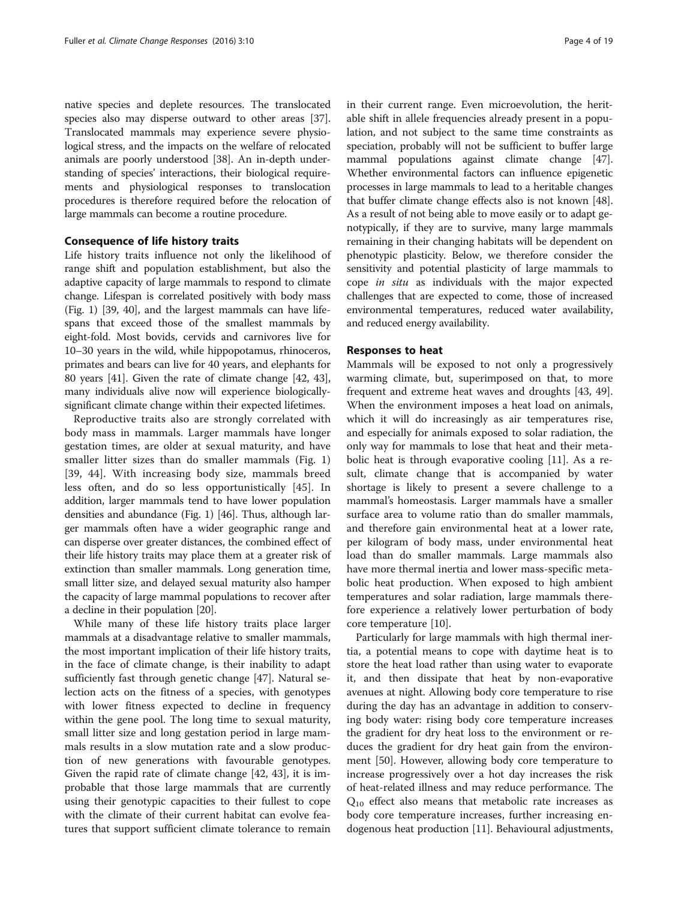native species and deplete resources. The translocated species also may disperse outward to other areas [[37](#page-15-0)]. Translocated mammals may experience severe physiological stress, and the impacts on the welfare of relocated animals are poorly understood [\[38\]](#page-15-0). An in-depth understanding of species' interactions, their biological requirements and physiological responses to translocation procedures is therefore required before the relocation of large mammals can become a routine procedure.

# Consequence of life history traits

Life history traits influence not only the likelihood of range shift and population establishment, but also the adaptive capacity of large mammals to respond to climate change. Lifespan is correlated positively with body mass (Fig. [1\)](#page-1-0) [[39](#page-15-0), [40\]](#page-15-0), and the largest mammals can have lifespans that exceed those of the smallest mammals by eight-fold. Most bovids, cervids and carnivores live for 10–30 years in the wild, while hippopotamus, rhinoceros, primates and bears can live for 40 years, and elephants for 80 years [[41](#page-15-0)]. Given the rate of climate change [\[42,](#page-15-0) [43](#page-16-0)], many individuals alive now will experience biologicallysignificant climate change within their expected lifetimes.

Reproductive traits also are strongly correlated with body mass in mammals. Larger mammals have longer gestation times, are older at sexual maturity, and have smaller litter sizes than do smaller mammals (Fig. [1](#page-1-0)) [[39,](#page-15-0) [44\]](#page-16-0). With increasing body size, mammals breed less often, and do so less opportunistically [\[45](#page-16-0)]. In addition, larger mammals tend to have lower population densities and abundance (Fig. [1\)](#page-1-0) [\[46\]](#page-16-0). Thus, although larger mammals often have a wider geographic range and can disperse over greater distances, the combined effect of their life history traits may place them at a greater risk of extinction than smaller mammals. Long generation time, small litter size, and delayed sexual maturity also hamper the capacity of large mammal populations to recover after a decline in their population [\[20\]](#page-15-0).

While many of these life history traits place larger mammals at a disadvantage relative to smaller mammals, the most important implication of their life history traits, in the face of climate change, is their inability to adapt sufficiently fast through genetic change [[47\]](#page-16-0). Natural selection acts on the fitness of a species, with genotypes with lower fitness expected to decline in frequency within the gene pool. The long time to sexual maturity, small litter size and long gestation period in large mammals results in a slow mutation rate and a slow production of new generations with favourable genotypes. Given the rapid rate of climate change [[42](#page-15-0), [43\]](#page-16-0), it is improbable that those large mammals that are currently using their genotypic capacities to their fullest to cope with the climate of their current habitat can evolve features that support sufficient climate tolerance to remain in their current range. Even microevolution, the heritable shift in allele frequencies already present in a population, and not subject to the same time constraints as speciation, probably will not be sufficient to buffer large mammal populations against climate change [[47](#page-16-0)]. Whether environmental factors can influence epigenetic processes in large mammals to lead to a heritable changes that buffer climate change effects also is not known [[48](#page-16-0)]. As a result of not being able to move easily or to adapt genotypically, if they are to survive, many large mammals remaining in their changing habitats will be dependent on phenotypic plasticity. Below, we therefore consider the sensitivity and potential plasticity of large mammals to cope in situ as individuals with the major expected challenges that are expected to come, those of increased environmental temperatures, reduced water availability, and reduced energy availability.

## Responses to heat

Mammals will be exposed to not only a progressively warming climate, but, superimposed on that, to more frequent and extreme heat waves and droughts [[43, 49](#page-16-0)]. When the environment imposes a heat load on animals, which it will do increasingly as air temperatures rise, and especially for animals exposed to solar radiation, the only way for mammals to lose that heat and their metabolic heat is through evaporative cooling [\[11](#page-15-0)]. As a result, climate change that is accompanied by water shortage is likely to present a severe challenge to a mammal's homeostasis. Larger mammals have a smaller surface area to volume ratio than do smaller mammals, and therefore gain environmental heat at a lower rate, per kilogram of body mass, under environmental heat load than do smaller mammals. Large mammals also have more thermal inertia and lower mass-specific metabolic heat production. When exposed to high ambient temperatures and solar radiation, large mammals therefore experience a relatively lower perturbation of body core temperature [\[10](#page-15-0)].

Particularly for large mammals with high thermal inertia, a potential means to cope with daytime heat is to store the heat load rather than using water to evaporate it, and then dissipate that heat by non-evaporative avenues at night. Allowing body core temperature to rise during the day has an advantage in addition to conserving body water: rising body core temperature increases the gradient for dry heat loss to the environment or reduces the gradient for dry heat gain from the environment [[50\]](#page-16-0). However, allowing body core temperature to increase progressively over a hot day increases the risk of heat-related illness and may reduce performance. The  $Q_{10}$  effect also means that metabolic rate increases as body core temperature increases, further increasing endogenous heat production [\[11\]](#page-15-0). Behavioural adjustments,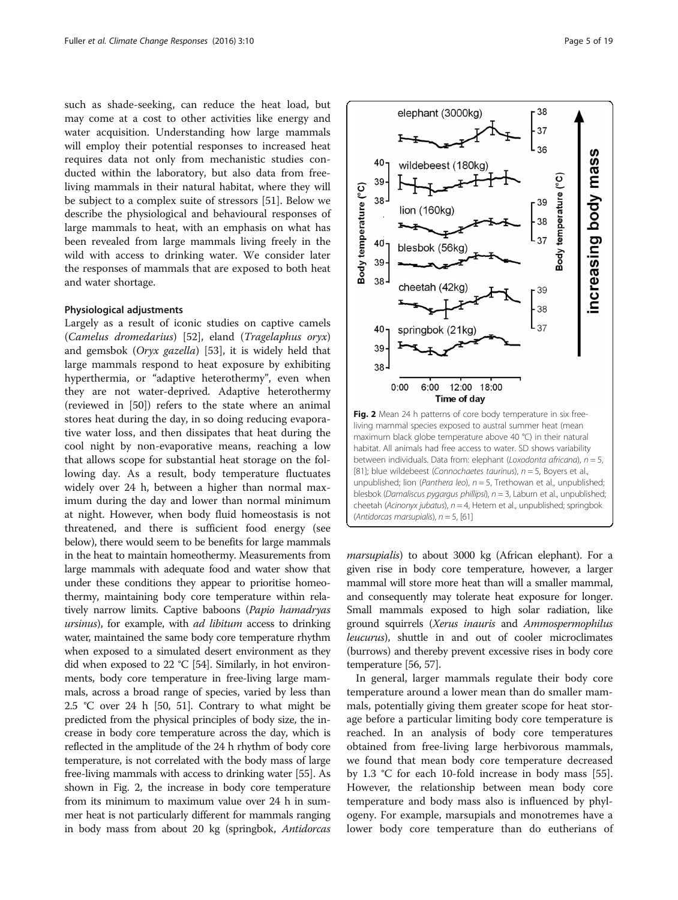<span id="page-4-0"></span>such as shade-seeking, can reduce the heat load, but may come at a cost to other activities like energy and water acquisition. Understanding how large mammals will employ their potential responses to increased heat requires data not only from mechanistic studies conducted within the laboratory, but also data from freeliving mammals in their natural habitat, where they will be subject to a complex suite of stressors [\[51\]](#page-16-0). Below we describe the physiological and behavioural responses of large mammals to heat, with an emphasis on what has been revealed from large mammals living freely in the wild with access to drinking water. We consider later the responses of mammals that are exposed to both heat and water shortage.

## Physiological adjustments

Largely as a result of iconic studies on captive camels (Camelus dromedarius) [[52\]](#page-16-0), eland (Tragelaphus oryx) and gemsbok (Oryx gazella) [[53](#page-16-0)], it is widely held that large mammals respond to heat exposure by exhibiting hyperthermia, or "adaptive heterothermy", even when they are not water-deprived. Adaptive heterothermy (reviewed in [[50](#page-16-0)]) refers to the state where an animal stores heat during the day, in so doing reducing evaporative water loss, and then dissipates that heat during the cool night by non-evaporative means, reaching a low that allows scope for substantial heat storage on the following day. As a result, body temperature fluctuates widely over 24 h, between a higher than normal maximum during the day and lower than normal minimum at night. However, when body fluid homeostasis is not threatened, and there is sufficient food energy (see below), there would seem to be benefits for large mammals in the heat to maintain homeothermy. Measurements from large mammals with adequate food and water show that under these conditions they appear to prioritise homeothermy, maintaining body core temperature within relatively narrow limits. Captive baboons (Papio hamadryas ursinus), for example, with ad libitum access to drinking water, maintained the same body core temperature rhythm when exposed to a simulated desert environment as they did when exposed to 22 °C [[54](#page-16-0)]. Similarly, in hot environments, body core temperature in free-living large mammals, across a broad range of species, varied by less than 2.5 °C over 24 h [\[50, 51\]](#page-16-0). Contrary to what might be predicted from the physical principles of body size, the increase in body core temperature across the day, which is reflected in the amplitude of the 24 h rhythm of body core temperature, is not correlated with the body mass of large free-living mammals with access to drinking water [\[55\]](#page-16-0). As shown in Fig. 2, the increase in body core temperature from its minimum to maximum value over 24 h in summer heat is not particularly different for mammals ranging in body mass from about 20 kg (springbok, Antidorcas



marsupialis) to about 3000 kg (African elephant). For a given rise in body core temperature, however, a larger mammal will store more heat than will a smaller mammal, and consequently may tolerate heat exposure for longer. Small mammals exposed to high solar radiation, like ground squirrels (Xerus inauris and Ammospermophilus leucurus), shuttle in and out of cooler microclimates (burrows) and thereby prevent excessive rises in body core temperature [[56](#page-16-0), [57](#page-16-0)].

In general, larger mammals regulate their body core temperature around a lower mean than do smaller mammals, potentially giving them greater scope for heat storage before a particular limiting body core temperature is reached. In an analysis of body core temperatures obtained from free-living large herbivorous mammals, we found that mean body core temperature decreased by 1.3 °C for each 10-fold increase in body mass [\[55](#page-16-0)]. However, the relationship between mean body core temperature and body mass also is influenced by phylogeny. For example, marsupials and monotremes have a lower body core temperature than do eutherians of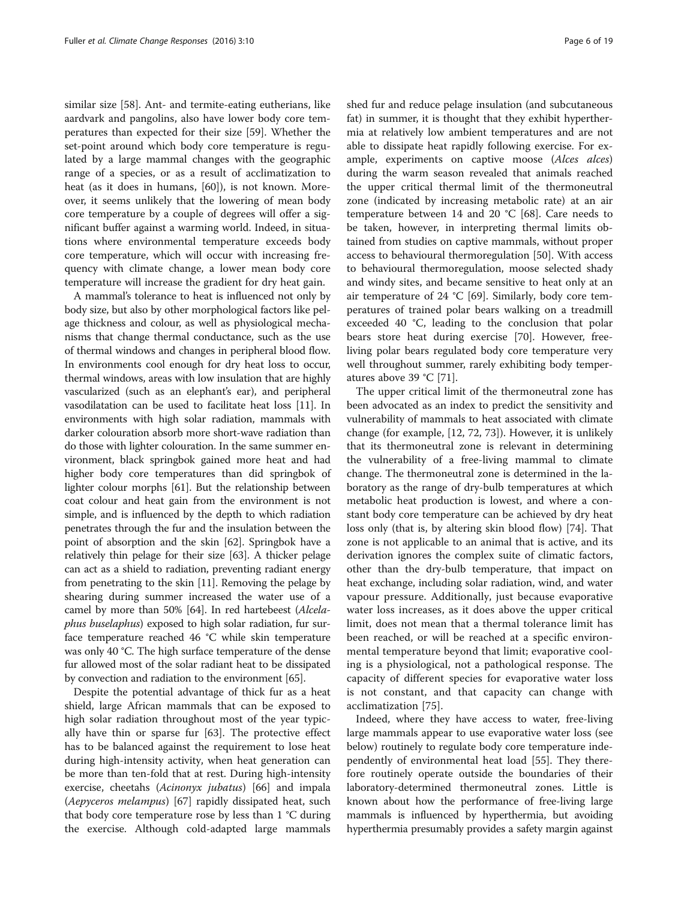similar size [[58\]](#page-16-0). Ant- and termite-eating eutherians, like aardvark and pangolins, also have lower body core temperatures than expected for their size [\[59](#page-16-0)]. Whether the set-point around which body core temperature is regulated by a large mammal changes with the geographic range of a species, or as a result of acclimatization to heat (as it does in humans, [\[60\]](#page-16-0)), is not known. Moreover, it seems unlikely that the lowering of mean body core temperature by a couple of degrees will offer a significant buffer against a warming world. Indeed, in situations where environmental temperature exceeds body core temperature, which will occur with increasing frequency with climate change, a lower mean body core temperature will increase the gradient for dry heat gain.

A mammal's tolerance to heat is influenced not only by body size, but also by other morphological factors like pelage thickness and colour, as well as physiological mechanisms that change thermal conductance, such as the use of thermal windows and changes in peripheral blood flow. In environments cool enough for dry heat loss to occur, thermal windows, areas with low insulation that are highly vascularized (such as an elephant's ear), and peripheral vasodilatation can be used to facilitate heat loss [\[11\]](#page-15-0). In environments with high solar radiation, mammals with darker colouration absorb more short-wave radiation than do those with lighter colouration. In the same summer environment, black springbok gained more heat and had higher body core temperatures than did springbok of lighter colour morphs [\[61](#page-16-0)]. But the relationship between coat colour and heat gain from the environment is not simple, and is influenced by the depth to which radiation penetrates through the fur and the insulation between the point of absorption and the skin [[62](#page-16-0)]. Springbok have a relatively thin pelage for their size [\[63](#page-16-0)]. A thicker pelage can act as a shield to radiation, preventing radiant energy from penetrating to the skin [[11](#page-15-0)]. Removing the pelage by shearing during summer increased the water use of a camel by more than 50% [[64\]](#page-16-0). In red hartebeest (Alcelaphus buselaphus) exposed to high solar radiation, fur surface temperature reached 46 °C while skin temperature was only 40 °C. The high surface temperature of the dense fur allowed most of the solar radiant heat to be dissipated by convection and radiation to the environment [[65](#page-16-0)].

Despite the potential advantage of thick fur as a heat shield, large African mammals that can be exposed to high solar radiation throughout most of the year typically have thin or sparse fur [\[63](#page-16-0)]. The protective effect has to be balanced against the requirement to lose heat during high-intensity activity, when heat generation can be more than ten-fold that at rest. During high-intensity exercise, cheetahs (Acinonyx jubatus) [[66](#page-16-0)] and impala (Aepyceros melampus) [[67\]](#page-16-0) rapidly dissipated heat, such that body core temperature rose by less than 1 °C during the exercise. Although cold-adapted large mammals shed fur and reduce pelage insulation (and subcutaneous fat) in summer, it is thought that they exhibit hyperthermia at relatively low ambient temperatures and are not able to dissipate heat rapidly following exercise. For example, experiments on captive moose (Alces alces) during the warm season revealed that animals reached the upper critical thermal limit of the thermoneutral zone (indicated by increasing metabolic rate) at an air temperature between 14 and 20 °C [\[68](#page-16-0)]. Care needs to be taken, however, in interpreting thermal limits obtained from studies on captive mammals, without proper access to behavioural thermoregulation [\[50](#page-16-0)]. With access to behavioural thermoregulation, moose selected shady and windy sites, and became sensitive to heat only at an air temperature of 24 °C [\[69\]](#page-16-0). Similarly, body core temperatures of trained polar bears walking on a treadmill exceeded 40 °C, leading to the conclusion that polar bears store heat during exercise [[70\]](#page-16-0). However, freeliving polar bears regulated body core temperature very well throughout summer, rarely exhibiting body temper-

atures above 39 °C [\[71\]](#page-16-0). The upper critical limit of the thermoneutral zone has been advocated as an index to predict the sensitivity and vulnerability of mammals to heat associated with climate change (for example, [\[12](#page-15-0), [72](#page-16-0), [73](#page-16-0)]). However, it is unlikely that its thermoneutral zone is relevant in determining the vulnerability of a free-living mammal to climate change. The thermoneutral zone is determined in the laboratory as the range of dry-bulb temperatures at which metabolic heat production is lowest, and where a constant body core temperature can be achieved by dry heat loss only (that is, by altering skin blood flow) [[74](#page-16-0)]. That zone is not applicable to an animal that is active, and its derivation ignores the complex suite of climatic factors, other than the dry-bulb temperature, that impact on heat exchange, including solar radiation, wind, and water vapour pressure. Additionally, just because evaporative water loss increases, as it does above the upper critical limit, does not mean that a thermal tolerance limit has been reached, or will be reached at a specific environmental temperature beyond that limit; evaporative cooling is a physiological, not a pathological response. The capacity of different species for evaporative water loss is not constant, and that capacity can change with acclimatization [[75\]](#page-16-0).

Indeed, where they have access to water, free-living large mammals appear to use evaporative water loss (see below) routinely to regulate body core temperature independently of environmental heat load [\[55\]](#page-16-0). They therefore routinely operate outside the boundaries of their laboratory-determined thermoneutral zones. Little is known about how the performance of free-living large mammals is influenced by hyperthermia, but avoiding hyperthermia presumably provides a safety margin against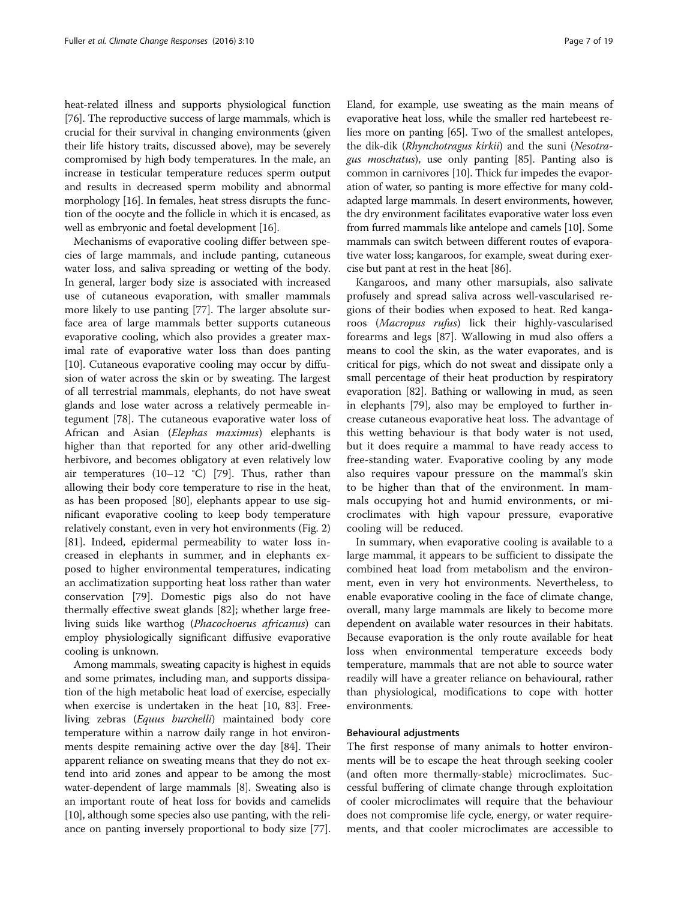heat-related illness and supports physiological function [[76](#page-16-0)]. The reproductive success of large mammals, which is crucial for their survival in changing environments (given their life history traits, discussed above), may be severely compromised by high body temperatures. In the male, an increase in testicular temperature reduces sperm output and results in decreased sperm mobility and abnormal morphology [\[16\]](#page-15-0). In females, heat stress disrupts the function of the oocyte and the follicle in which it is encased, as well as embryonic and foetal development [[16](#page-15-0)].

Mechanisms of evaporative cooling differ between species of large mammals, and include panting, cutaneous water loss, and saliva spreading or wetting of the body. In general, larger body size is associated with increased use of cutaneous evaporation, with smaller mammals more likely to use panting [\[77](#page-16-0)]. The larger absolute surface area of large mammals better supports cutaneous evaporative cooling, which also provides a greater maximal rate of evaporative water loss than does panting [[10\]](#page-15-0). Cutaneous evaporative cooling may occur by diffusion of water across the skin or by sweating. The largest of all terrestrial mammals, elephants, do not have sweat glands and lose water across a relatively permeable integument [[78](#page-16-0)]. The cutaneous evaporative water loss of African and Asian (Elephas maximus) elephants is higher than that reported for any other arid-dwelling herbivore, and becomes obligatory at even relatively low air temperatures (10–12 °C) [[79](#page-16-0)]. Thus, rather than allowing their body core temperature to rise in the heat, as has been proposed [[80\]](#page-16-0), elephants appear to use significant evaporative cooling to keep body temperature relatively constant, even in very hot environments (Fig. [2](#page-4-0)) [[81\]](#page-16-0). Indeed, epidermal permeability to water loss increased in elephants in summer, and in elephants exposed to higher environmental temperatures, indicating an acclimatization supporting heat loss rather than water conservation [\[79](#page-16-0)]. Domestic pigs also do not have thermally effective sweat glands [[82\]](#page-16-0); whether large freeliving suids like warthog (Phacochoerus africanus) can employ physiologically significant diffusive evaporative cooling is unknown.

Among mammals, sweating capacity is highest in equids and some primates, including man, and supports dissipation of the high metabolic heat load of exercise, especially when exercise is undertaken in the heat [\[10,](#page-15-0) [83\]](#page-16-0). Freeliving zebras (Equus burchelli) maintained body core temperature within a narrow daily range in hot environments despite remaining active over the day [\[84](#page-16-0)]. Their apparent reliance on sweating means that they do not extend into arid zones and appear to be among the most water-dependent of large mammals [\[8](#page-15-0)]. Sweating also is an important route of heat loss for bovids and camelids [[10](#page-15-0)], although some species also use panting, with the reliance on panting inversely proportional to body size [[77](#page-16-0)].

Eland, for example, use sweating as the main means of evaporative heat loss, while the smaller red hartebeest relies more on panting [\[65\]](#page-16-0). Two of the smallest antelopes, the dik-dik (Rhynchotragus kirkii) and the suni (Nesotragus moschatus), use only panting [\[85\]](#page-16-0). Panting also is common in carnivores [\[10\]](#page-15-0). Thick fur impedes the evaporation of water, so panting is more effective for many coldadapted large mammals. In desert environments, however, the dry environment facilitates evaporative water loss even from furred mammals like antelope and camels [[10](#page-15-0)]. Some mammals can switch between different routes of evaporative water loss; kangaroos, for example, sweat during exercise but pant at rest in the heat [\[86\]](#page-16-0).

Kangaroos, and many other marsupials, also salivate profusely and spread saliva across well-vascularised regions of their bodies when exposed to heat. Red kangaroos (Macropus rufus) lick their highly-vascularised forearms and legs [\[87](#page-16-0)]. Wallowing in mud also offers a means to cool the skin, as the water evaporates, and is critical for pigs, which do not sweat and dissipate only a small percentage of their heat production by respiratory evaporation [[82\]](#page-16-0). Bathing or wallowing in mud, as seen in elephants [\[79](#page-16-0)], also may be employed to further increase cutaneous evaporative heat loss. The advantage of this wetting behaviour is that body water is not used, but it does require a mammal to have ready access to free-standing water. Evaporative cooling by any mode also requires vapour pressure on the mammal's skin to be higher than that of the environment. In mammals occupying hot and humid environments, or microclimates with high vapour pressure, evaporative cooling will be reduced.

In summary, when evaporative cooling is available to a large mammal, it appears to be sufficient to dissipate the combined heat load from metabolism and the environment, even in very hot environments. Nevertheless, to enable evaporative cooling in the face of climate change, overall, many large mammals are likely to become more dependent on available water resources in their habitats. Because evaporation is the only route available for heat loss when environmental temperature exceeds body temperature, mammals that are not able to source water readily will have a greater reliance on behavioural, rather than physiological, modifications to cope with hotter environments.

# Behavioural adjustments

The first response of many animals to hotter environments will be to escape the heat through seeking cooler (and often more thermally-stable) microclimates. Successful buffering of climate change through exploitation of cooler microclimates will require that the behaviour does not compromise life cycle, energy, or water requirements, and that cooler microclimates are accessible to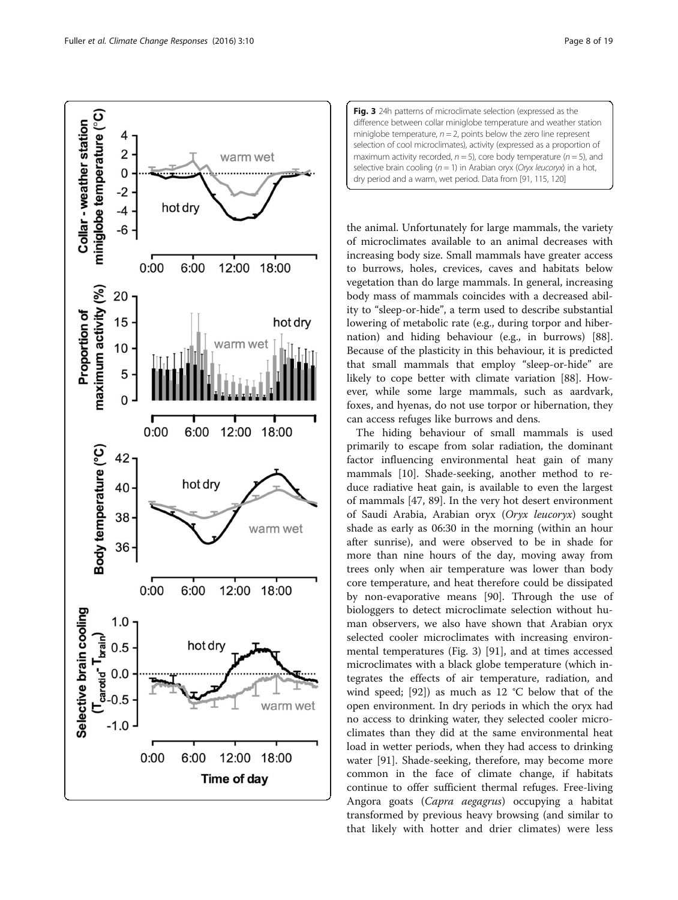<span id="page-7-0"></span>miniglobe temperature (°C) Collar - weather station 4  $\overline{2}$ warm wet  $\overline{0}$  $-2$ hot dry  $-4$ -6  $0:00$  $6:00$ 12:00 18:00 maximum activity (%) 20 Proportion of 15 hot dry warm wet  $10$ 5  $\Omega$  $0:00$ 12:00 18:00 6:00 3ody temperature (°C) 42 hot dry 40 38 warm wet 36  $0:00$ 12:00  $6:00$ 18:00 Selective brain cooling  $1.0$  $\begin{bmatrix} \mathsf{T}_{\mathsf{carotid}} & \mathsf{T}_{\mathsf{brain}} \\ \mathsf{0} & \mathsf{0} & \mathsf{5} \\ \mathsf{0} & \mathsf{0} & \mathsf{5} \end{bmatrix}$ hot dry warm wet  $-1.0$ 12:00 18:00  $0:00$  $6:00$ 

Time of day

Fig. 3 24h patterns of microclimate selection (expressed as the difference between collar miniglobe temperature and weather station miniglobe temperature,  $n = 2$ , points below the zero line represent selection of cool microclimates), activity (expressed as a proportion of maximum activity recorded,  $n = 5$ ), core body temperature ( $n = 5$ ), and selective brain cooling ( $n = 1$ ) in Arabian oryx (Oryx leucoryx) in a hot, dry period and a warm, wet period. Data from [[91](#page-16-0), [115, 120](#page-17-0)]

the animal. Unfortunately for large mammals, the variety of microclimates available to an animal decreases with increasing body size. Small mammals have greater access to burrows, holes, crevices, caves and habitats below vegetation than do large mammals. In general, increasing body mass of mammals coincides with a decreased ability to "sleep-or-hide", a term used to describe substantial lowering of metabolic rate (e.g., during torpor and hibernation) and hiding behaviour (e.g., in burrows) [\[88](#page-16-0)]. Because of the plasticity in this behaviour, it is predicted that small mammals that employ "sleep-or-hide" are likely to cope better with climate variation [[88\]](#page-16-0). However, while some large mammals, such as aardvark, foxes, and hyenas, do not use torpor or hibernation, they can access refuges like burrows and dens.

The hiding behaviour of small mammals is used primarily to escape from solar radiation, the dominant factor influencing environmental heat gain of many mammals [\[10\]](#page-15-0). Shade-seeking, another method to reduce radiative heat gain, is available to even the largest of mammals [\[47](#page-16-0), [89](#page-16-0)]. In the very hot desert environment of Saudi Arabia, Arabian oryx (Oryx leucoryx) sought shade as early as 06:30 in the morning (within an hour after sunrise), and were observed to be in shade for more than nine hours of the day, moving away from trees only when air temperature was lower than body core temperature, and heat therefore could be dissipated by non-evaporative means [\[90](#page-16-0)]. Through the use of biologgers to detect microclimate selection without human observers, we also have shown that Arabian oryx selected cooler microclimates with increasing environmental temperatures (Fig. 3) [[91\]](#page-16-0), and at times accessed microclimates with a black globe temperature (which integrates the effects of air temperature, radiation, and wind speed; [\[92\]](#page-16-0)) as much as 12 °C below that of the open environment. In dry periods in which the oryx had no access to drinking water, they selected cooler microclimates than they did at the same environmental heat load in wetter periods, when they had access to drinking water [\[91](#page-16-0)]. Shade-seeking, therefore, may become more common in the face of climate change, if habitats continue to offer sufficient thermal refuges. Free-living Angora goats (Capra aegagrus) occupying a habitat transformed by previous heavy browsing (and similar to that likely with hotter and drier climates) were less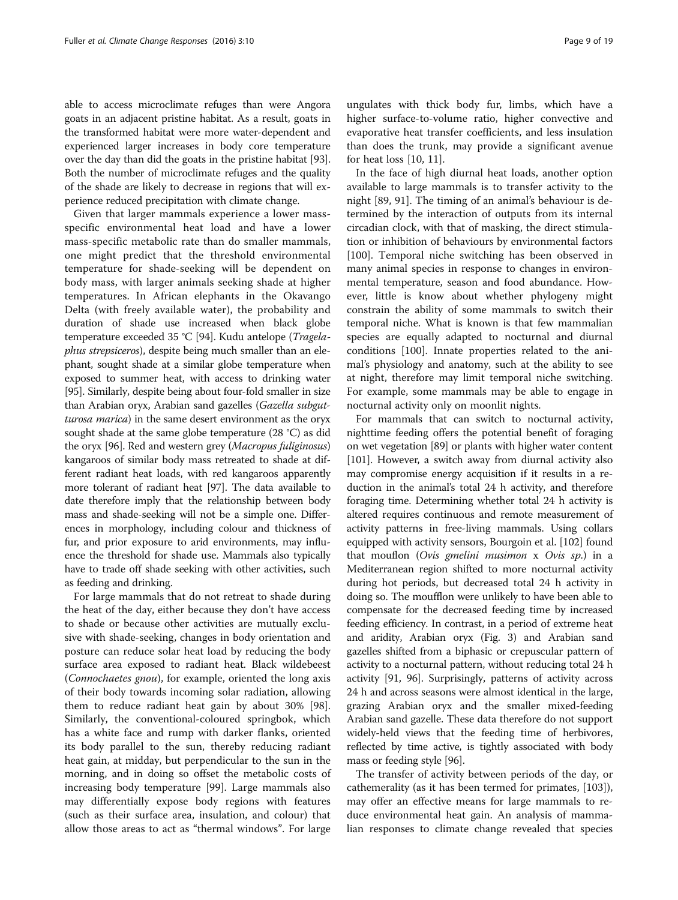able to access microclimate refuges than were Angora goats in an adjacent pristine habitat. As a result, goats in the transformed habitat were more water-dependent and experienced larger increases in body core temperature over the day than did the goats in the pristine habitat [[93](#page-16-0)]. Both the number of microclimate refuges and the quality of the shade are likely to decrease in regions that will experience reduced precipitation with climate change.

Given that larger mammals experience a lower massspecific environmental heat load and have a lower mass-specific metabolic rate than do smaller mammals, one might predict that the threshold environmental temperature for shade-seeking will be dependent on body mass, with larger animals seeking shade at higher temperatures. In African elephants in the Okavango Delta (with freely available water), the probability and duration of shade use increased when black globe temperature exceeded 35 °C [[94](#page-16-0)]. Kudu antelope (Tragelaphus strepsiceros), despite being much smaller than an elephant, sought shade at a similar globe temperature when exposed to summer heat, with access to drinking water [[95](#page-16-0)]. Similarly, despite being about four-fold smaller in size than Arabian oryx, Arabian sand gazelles (Gazella subgutturosa marica) in the same desert environment as the oryx sought shade at the same globe temperature (28 °C) as did the oryx [\[96\]](#page-16-0). Red and western grey (Macropus fuliginosus) kangaroos of similar body mass retreated to shade at different radiant heat loads, with red kangaroos apparently more tolerant of radiant heat [\[97](#page-17-0)]. The data available to date therefore imply that the relationship between body mass and shade-seeking will not be a simple one. Differences in morphology, including colour and thickness of fur, and prior exposure to arid environments, may influence the threshold for shade use. Mammals also typically have to trade off shade seeking with other activities, such as feeding and drinking.

For large mammals that do not retreat to shade during the heat of the day, either because they don't have access to shade or because other activities are mutually exclusive with shade-seeking, changes in body orientation and posture can reduce solar heat load by reducing the body surface area exposed to radiant heat. Black wildebeest (Connochaetes gnou), for example, oriented the long axis of their body towards incoming solar radiation, allowing them to reduce radiant heat gain by about 30% [\[98](#page-17-0)]. Similarly, the conventional-coloured springbok, which has a white face and rump with darker flanks, oriented its body parallel to the sun, thereby reducing radiant heat gain, at midday, but perpendicular to the sun in the morning, and in doing so offset the metabolic costs of increasing body temperature [\[99\]](#page-17-0). Large mammals also may differentially expose body regions with features (such as their surface area, insulation, and colour) that allow those areas to act as "thermal windows". For large

ungulates with thick body fur, limbs, which have a higher surface-to-volume ratio, higher convective and evaporative heat transfer coefficients, and less insulation than does the trunk, may provide a significant avenue for heat loss [[10, 11\]](#page-15-0).

In the face of high diurnal heat loads, another option available to large mammals is to transfer activity to the night [[89, 91\]](#page-16-0). The timing of an animal's behaviour is determined by the interaction of outputs from its internal circadian clock, with that of masking, the direct stimulation or inhibition of behaviours by environmental factors [[100\]](#page-17-0). Temporal niche switching has been observed in many animal species in response to changes in environmental temperature, season and food abundance. However, little is know about whether phylogeny might constrain the ability of some mammals to switch their temporal niche. What is known is that few mammalian species are equally adapted to nocturnal and diurnal conditions [[100](#page-17-0)]. Innate properties related to the animal's physiology and anatomy, such at the ability to see at night, therefore may limit temporal niche switching. For example, some mammals may be able to engage in nocturnal activity only on moonlit nights.

For mammals that can switch to nocturnal activity, nighttime feeding offers the potential benefit of foraging on wet vegetation [\[89\]](#page-16-0) or plants with higher water content [[101](#page-17-0)]. However, a switch away from diurnal activity also may compromise energy acquisition if it results in a reduction in the animal's total 24 h activity, and therefore foraging time. Determining whether total 24 h activity is altered requires continuous and remote measurement of activity patterns in free-living mammals. Using collars equipped with activity sensors, Bourgoin et al. [[102](#page-17-0)] found that mouflon (Ovis gmelini musimon x Ovis sp.) in a Mediterranean region shifted to more nocturnal activity during hot periods, but decreased total 24 h activity in doing so. The moufflon were unlikely to have been able to compensate for the decreased feeding time by increased feeding efficiency. In contrast, in a period of extreme heat and aridity, Arabian oryx (Fig. [3\)](#page-7-0) and Arabian sand gazelles shifted from a biphasic or crepuscular pattern of activity to a nocturnal pattern, without reducing total 24 h activity [[91, 96\]](#page-16-0). Surprisingly, patterns of activity across 24 h and across seasons were almost identical in the large, grazing Arabian oryx and the smaller mixed-feeding Arabian sand gazelle. These data therefore do not support widely-held views that the feeding time of herbivores, reflected by time active, is tightly associated with body mass or feeding style [[96](#page-16-0)].

The transfer of activity between periods of the day, or cathemerality (as it has been termed for primates, [\[103](#page-17-0)]), may offer an effective means for large mammals to reduce environmental heat gain. An analysis of mammalian responses to climate change revealed that species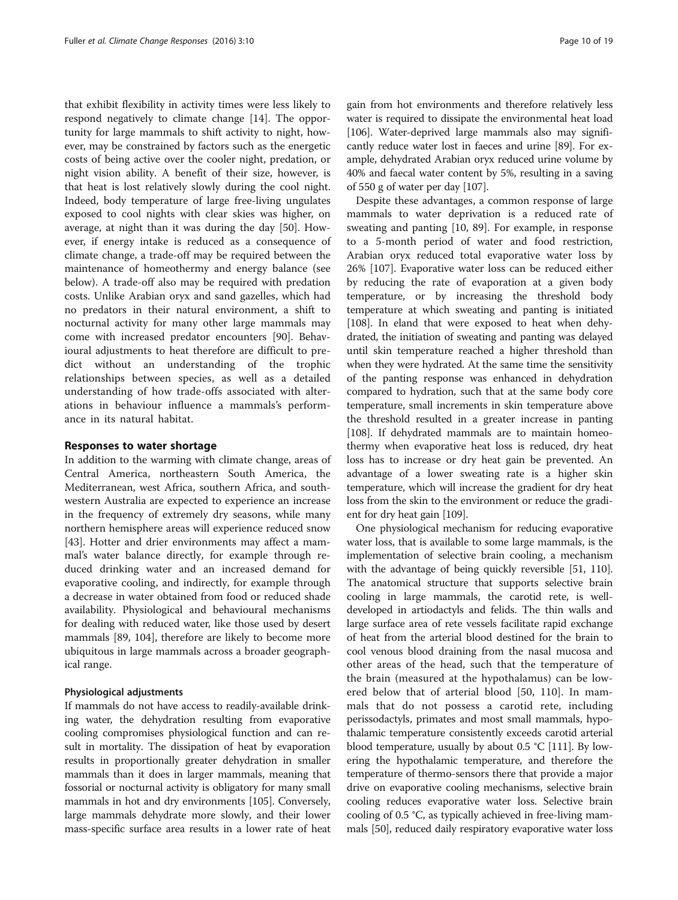that exhibit flexibility in activity times were less likely to respond negatively to climate change [\[14](#page-15-0)]. The opportunity for large mammals to shift activity to night, however, may be constrained by factors such as the energetic costs of being active over the cooler night, predation, or night vision ability. A benefit of their size, however, is that heat is lost relatively slowly during the cool night. Indeed, body temperature of large free-living ungulates exposed to cool nights with clear skies was higher, on average, at night than it was during the day [\[50](#page-16-0)]. However, if energy intake is reduced as a consequence of climate change, a trade-off may be required between the maintenance of homeothermy and energy balance (see below). A trade-off also may be required with predation costs. Unlike Arabian oryx and sand gazelles, which had no predators in their natural environment, a shift to nocturnal activity for many other large mammals may come with increased predator encounters [[90](#page-16-0)]. Behavioural adjustments to heat therefore are difficult to predict without an understanding of the trophic relationships between species, as well as a detailed understanding of how trade-offs associated with alterations in behaviour influence a mammals's performance in its natural habitat.

# Responses to water shortage

In addition to the warming with climate change, areas of Central America, northeastern South America, the Mediterranean, west Africa, southern Africa, and southwestern Australia are expected to experience an increase in the frequency of extremely dry seasons, while many northern hemisphere areas will experience reduced snow [[43\]](#page-16-0). Hotter and drier environments may affect a mammal's water balance directly, for example through reduced drinking water and an increased demand for evaporative cooling, and indirectly, for example through a decrease in water obtained from food or reduced shade availability. Physiological and behavioural mechanisms for dealing with reduced water, like those used by desert mammals [[89,](#page-16-0) [104\]](#page-17-0), therefore are likely to become more ubiquitous in large mammals across a broader geographical range.

## Physiological adjustments

If mammals do not have access to readily-available drinking water, the dehydration resulting from evaporative cooling compromises physiological function and can result in mortality. The dissipation of heat by evaporation results in proportionally greater dehydration in smaller mammals than it does in larger mammals, meaning that fossorial or nocturnal activity is obligatory for many small mammals in hot and dry environments [[105](#page-17-0)]. Conversely, large mammals dehydrate more slowly, and their lower mass-specific surface area results in a lower rate of heat gain from hot environments and therefore relatively less water is required to dissipate the environmental heat load [[106](#page-17-0)]. Water-deprived large mammals also may significantly reduce water lost in faeces and urine [\[89](#page-16-0)]. For example, dehydrated Arabian oryx reduced urine volume by 40% and faecal water content by 5%, resulting in a saving of 550 g of water per day [[107](#page-17-0)].

Despite these advantages, a common response of large mammals to water deprivation is a reduced rate of sweating and panting [[10,](#page-15-0) [89](#page-16-0)]. For example, in response to a 5-month period of water and food restriction, Arabian oryx reduced total evaporative water loss by 26% [\[107\]](#page-17-0). Evaporative water loss can be reduced either by reducing the rate of evaporation at a given body temperature, or by increasing the threshold body temperature at which sweating and panting is initiated [[108](#page-17-0)]. In eland that were exposed to heat when dehydrated, the initiation of sweating and panting was delayed until skin temperature reached a higher threshold than when they were hydrated. At the same time the sensitivity of the panting response was enhanced in dehydration compared to hydration, such that at the same body core temperature, small increments in skin temperature above the threshold resulted in a greater increase in panting [[108](#page-17-0)]. If dehydrated mammals are to maintain homeothermy when evaporative heat loss is reduced, dry heat loss has to increase or dry heat gain be prevented. An advantage of a lower sweating rate is a higher skin temperature, which will increase the gradient for dry heat loss from the skin to the environment or reduce the gradient for dry heat gain [[109](#page-17-0)].

One physiological mechanism for reducing evaporative water loss, that is available to some large mammals, is the implementation of selective brain cooling, a mechanism with the advantage of being quickly reversible [\[51,](#page-16-0) [110](#page-17-0)]. The anatomical structure that supports selective brain cooling in large mammals, the carotid rete, is welldeveloped in artiodactyls and felids. The thin walls and large surface area of rete vessels facilitate rapid exchange of heat from the arterial blood destined for the brain to cool venous blood draining from the nasal mucosa and other areas of the head, such that the temperature of the brain (measured at the hypothalamus) can be lowered below that of arterial blood [[50,](#page-16-0) [110\]](#page-17-0). In mammals that do not possess a carotid rete, including perissodactyls, primates and most small mammals, hypothalamic temperature consistently exceeds carotid arterial blood temperature, usually by about 0.5  $\degree$ C [[111](#page-17-0)]. By lowering the hypothalamic temperature, and therefore the temperature of thermo-sensors there that provide a major drive on evaporative cooling mechanisms, selective brain cooling reduces evaporative water loss. Selective brain cooling of 0.5 °C, as typically achieved in free-living mammals [\[50](#page-16-0)], reduced daily respiratory evaporative water loss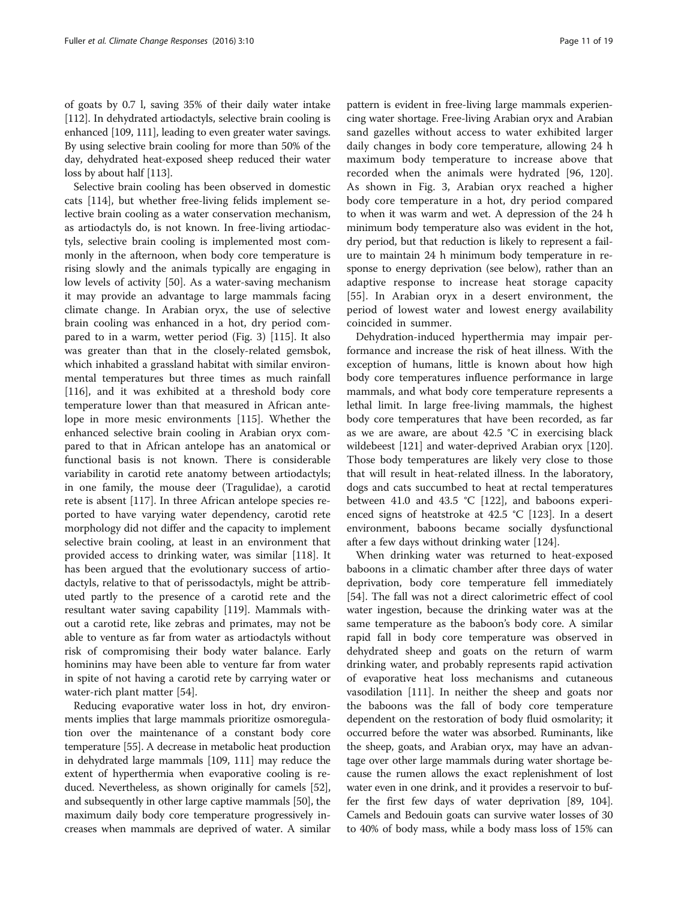of goats by 0.7 l, saving 35% of their daily water intake [[112](#page-17-0)]. In dehydrated artiodactyls, selective brain cooling is enhanced [[109](#page-17-0), [111](#page-17-0)], leading to even greater water savings. By using selective brain cooling for more than 50% of the day, dehydrated heat-exposed sheep reduced their water loss by about half [\[113](#page-17-0)].

Selective brain cooling has been observed in domestic cats [[114\]](#page-17-0), but whether free-living felids implement selective brain cooling as a water conservation mechanism, as artiodactyls do, is not known. In free-living artiodactyls, selective brain cooling is implemented most commonly in the afternoon, when body core temperature is rising slowly and the animals typically are engaging in low levels of activity [\[50\]](#page-16-0). As a water-saving mechanism it may provide an advantage to large mammals facing climate change. In Arabian oryx, the use of selective brain cooling was enhanced in a hot, dry period compared to in a warm, wetter period (Fig. [3](#page-7-0)) [[115](#page-17-0)]. It also was greater than that in the closely-related gemsbok, which inhabited a grassland habitat with similar environmental temperatures but three times as much rainfall [[116\]](#page-17-0), and it was exhibited at a threshold body core temperature lower than that measured in African antelope in more mesic environments [\[115\]](#page-17-0). Whether the enhanced selective brain cooling in Arabian oryx compared to that in African antelope has an anatomical or functional basis is not known. There is considerable variability in carotid rete anatomy between artiodactyls; in one family, the mouse deer (Tragulidae), a carotid rete is absent [\[117\]](#page-17-0). In three African antelope species reported to have varying water dependency, carotid rete morphology did not differ and the capacity to implement selective brain cooling, at least in an environment that provided access to drinking water, was similar [[118\]](#page-17-0). It has been argued that the evolutionary success of artiodactyls, relative to that of perissodactyls, might be attributed partly to the presence of a carotid rete and the resultant water saving capability [[119](#page-17-0)]. Mammals without a carotid rete, like zebras and primates, may not be able to venture as far from water as artiodactyls without risk of compromising their body water balance. Early hominins may have been able to venture far from water in spite of not having a carotid rete by carrying water or water-rich plant matter [\[54](#page-16-0)].

Reducing evaporative water loss in hot, dry environments implies that large mammals prioritize osmoregulation over the maintenance of a constant body core temperature [\[55\]](#page-16-0). A decrease in metabolic heat production in dehydrated large mammals [\[109, 111](#page-17-0)] may reduce the extent of hyperthermia when evaporative cooling is reduced. Nevertheless, as shown originally for camels [[52](#page-16-0)], and subsequently in other large captive mammals [\[50](#page-16-0)], the maximum daily body core temperature progressively increases when mammals are deprived of water. A similar

pattern is evident in free-living large mammals experiencing water shortage. Free-living Arabian oryx and Arabian sand gazelles without access to water exhibited larger daily changes in body core temperature, allowing 24 h maximum body temperature to increase above that recorded when the animals were hydrated [[96,](#page-16-0) [120](#page-17-0)]. As shown in Fig. [3](#page-7-0), Arabian oryx reached a higher body core temperature in a hot, dry period compared to when it was warm and wet. A depression of the 24 h minimum body temperature also was evident in the hot, dry period, but that reduction is likely to represent a failure to maintain 24 h minimum body temperature in response to energy deprivation (see below), rather than an adaptive response to increase heat storage capacity [[55](#page-16-0)]. In Arabian oryx in a desert environment, the period of lowest water and lowest energy availability coincided in summer.

Dehydration-induced hyperthermia may impair performance and increase the risk of heat illness. With the exception of humans, little is known about how high body core temperatures influence performance in large mammals, and what body core temperature represents a lethal limit. In large free-living mammals, the highest body core temperatures that have been recorded, as far as we are aware, are about 42.5 °C in exercising black wildebeest [[121\]](#page-17-0) and water-deprived Arabian oryx [[120](#page-17-0)]. Those body temperatures are likely very close to those that will result in heat-related illness. In the laboratory, dogs and cats succumbed to heat at rectal temperatures between 41.0 and 43.5 °C [\[122](#page-17-0)], and baboons experienced signs of heatstroke at 42.5 °C [\[123](#page-17-0)]. In a desert environment, baboons became socially dysfunctional after a few days without drinking water [[124](#page-17-0)].

When drinking water was returned to heat-exposed baboons in a climatic chamber after three days of water deprivation, body core temperature fell immediately [[54\]](#page-16-0). The fall was not a direct calorimetric effect of cool water ingestion, because the drinking water was at the same temperature as the baboon's body core. A similar rapid fall in body core temperature was observed in dehydrated sheep and goats on the return of warm drinking water, and probably represents rapid activation of evaporative heat loss mechanisms and cutaneous vasodilation [\[111](#page-17-0)]. In neither the sheep and goats nor the baboons was the fall of body core temperature dependent on the restoration of body fluid osmolarity; it occurred before the water was absorbed. Ruminants, like the sheep, goats, and Arabian oryx, may have an advantage over other large mammals during water shortage because the rumen allows the exact replenishment of lost water even in one drink, and it provides a reservoir to buffer the first few days of water deprivation [\[89,](#page-16-0) [104](#page-17-0)]. Camels and Bedouin goats can survive water losses of 30 to 40% of body mass, while a body mass loss of 15% can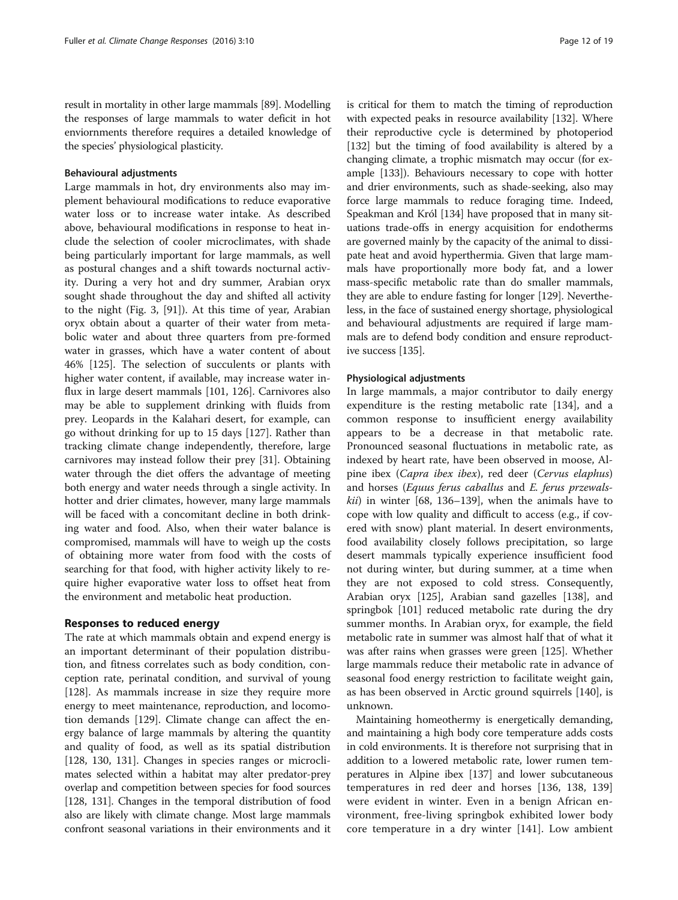result in mortality in other large mammals [\[89\]](#page-16-0). Modelling the responses of large mammals to water deficit in hot enviornments therefore requires a detailed knowledge of the species' physiological plasticity.

## Behavioural adjustments

Large mammals in hot, dry environments also may implement behavioural modifications to reduce evaporative water loss or to increase water intake. As described above, behavioural modifications in response to heat include the selection of cooler microclimates, with shade being particularly important for large mammals, as well as postural changes and a shift towards nocturnal activity. During a very hot and dry summer, Arabian oryx sought shade throughout the day and shifted all activity to the night (Fig. [3](#page-7-0), [[91](#page-16-0)]). At this time of year, Arabian oryx obtain about a quarter of their water from metabolic water and about three quarters from pre-formed water in grasses, which have a water content of about 46% [[125](#page-17-0)]. The selection of succulents or plants with higher water content, if available, may increase water influx in large desert mammals [[101, 126\]](#page-17-0). Carnivores also may be able to supplement drinking with fluids from prey. Leopards in the Kalahari desert, for example, can go without drinking for up to 15 days [[127\]](#page-17-0). Rather than tracking climate change independently, therefore, large carnivores may instead follow their prey [[31\]](#page-15-0). Obtaining water through the diet offers the advantage of meeting both energy and water needs through a single activity. In hotter and drier climates, however, many large mammals will be faced with a concomitant decline in both drinking water and food. Also, when their water balance is compromised, mammals will have to weigh up the costs of obtaining more water from food with the costs of searching for that food, with higher activity likely to require higher evaporative water loss to offset heat from the environment and metabolic heat production.

# Responses to reduced energy

The rate at which mammals obtain and expend energy is an important determinant of their population distribution, and fitness correlates such as body condition, conception rate, perinatal condition, and survival of young [[128\]](#page-17-0). As mammals increase in size they require more energy to meet maintenance, reproduction, and locomotion demands [\[129](#page-17-0)]. Climate change can affect the energy balance of large mammals by altering the quantity and quality of food, as well as its spatial distribution [[128, 130, 131\]](#page-17-0). Changes in species ranges or microclimates selected within a habitat may alter predator-prey overlap and competition between species for food sources [[128](#page-17-0), [131\]](#page-17-0). Changes in the temporal distribution of food also are likely with climate change. Most large mammals confront seasonal variations in their environments and it is critical for them to match the timing of reproduction with expected peaks in resource availability [\[132\]](#page-17-0). Where their reproductive cycle is determined by photoperiod [[132](#page-17-0)] but the timing of food availability is altered by a changing climate, a trophic mismatch may occur (for example [[133](#page-17-0)]). Behaviours necessary to cope with hotter and drier environments, such as shade-seeking, also may force large mammals to reduce foraging time. Indeed, Speakman and Król [\[134\]](#page-17-0) have proposed that in many situations trade-offs in energy acquisition for endotherms are governed mainly by the capacity of the animal to dissipate heat and avoid hyperthermia. Given that large mammals have proportionally more body fat, and a lower mass-specific metabolic rate than do smaller mammals, they are able to endure fasting for longer [[129](#page-17-0)]. Nevertheless, in the face of sustained energy shortage, physiological and behavioural adjustments are required if large mammals are to defend body condition and ensure reproductive success [\[135](#page-17-0)].

## Physiological adjustments

In large mammals, a major contributor to daily energy expenditure is the resting metabolic rate [\[134\]](#page-17-0), and a common response to insufficient energy availability appears to be a decrease in that metabolic rate. Pronounced seasonal fluctuations in metabolic rate, as indexed by heart rate, have been observed in moose, Alpine ibex (Capra ibex ibex), red deer (Cervus elaphus) and horses (Equus ferus caballus and E. ferus przewals $kii$ ) in winter [[68,](#page-16-0) [136](#page-17-0)–[139](#page-17-0)], when the animals have to cope with low quality and difficult to access (e.g., if covered with snow) plant material. In desert environments, food availability closely follows precipitation, so large desert mammals typically experience insufficient food not during winter, but during summer, at a time when they are not exposed to cold stress. Consequently, Arabian oryx [[125](#page-17-0)], Arabian sand gazelles [[138\]](#page-17-0), and springbok [[101\]](#page-17-0) reduced metabolic rate during the dry summer months. In Arabian oryx, for example, the field metabolic rate in summer was almost half that of what it was after rains when grasses were green [[125\]](#page-17-0). Whether large mammals reduce their metabolic rate in advance of seasonal food energy restriction to facilitate weight gain, as has been observed in Arctic ground squirrels [[140\]](#page-17-0), is unknown.

Maintaining homeothermy is energetically demanding, and maintaining a high body core temperature adds costs in cold environments. It is therefore not surprising that in addition to a lowered metabolic rate, lower rumen temperatures in Alpine ibex [\[137\]](#page-17-0) and lower subcutaneous temperatures in red deer and horses [[136, 138, 139](#page-17-0)] were evident in winter. Even in a benign African environment, free-living springbok exhibited lower body core temperature in a dry winter [\[141](#page-17-0)]. Low ambient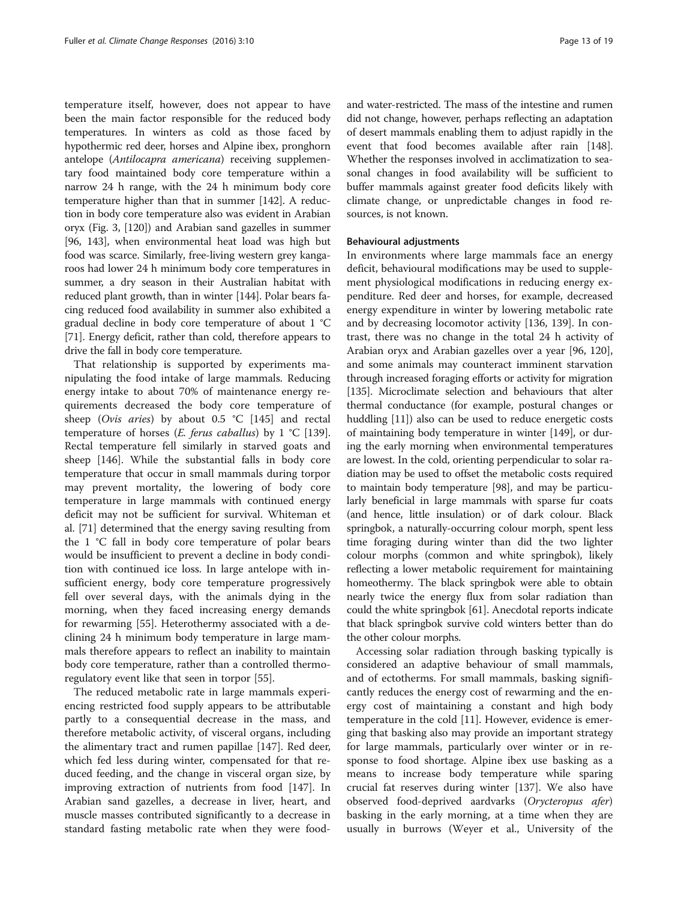temperature itself, however, does not appear to have been the main factor responsible for the reduced body temperatures. In winters as cold as those faced by hypothermic red deer, horses and Alpine ibex, pronghorn antelope (Antilocapra americana) receiving supplementary food maintained body core temperature within a narrow 24 h range, with the 24 h minimum body core temperature higher than that in summer [[142](#page-17-0)]. A reduction in body core temperature also was evident in Arabian oryx (Fig. [3,](#page-7-0) [\[120\]](#page-17-0)) and Arabian sand gazelles in summer [[96](#page-16-0), [143](#page-17-0)], when environmental heat load was high but food was scarce. Similarly, free-living western grey kangaroos had lower 24 h minimum body core temperatures in summer, a dry season in their Australian habitat with reduced plant growth, than in winter [\[144\]](#page-17-0). Polar bears facing reduced food availability in summer also exhibited a gradual decline in body core temperature of about 1 °C [[71](#page-16-0)]. Energy deficit, rather than cold, therefore appears to drive the fall in body core temperature.

That relationship is supported by experiments manipulating the food intake of large mammals. Reducing energy intake to about 70% of maintenance energy requirements decreased the body core temperature of sheep (Ovis aries) by about 0.5 °C [[145\]](#page-17-0) and rectal temperature of horses (*E. ferus caballus*) by 1 °C [\[139](#page-17-0)]. Rectal temperature fell similarly in starved goats and sheep [[146](#page-17-0)]. While the substantial falls in body core temperature that occur in small mammals during torpor may prevent mortality, the lowering of body core temperature in large mammals with continued energy deficit may not be sufficient for survival. Whiteman et al. [\[71\]](#page-16-0) determined that the energy saving resulting from the 1 °C fall in body core temperature of polar bears would be insufficient to prevent a decline in body condition with continued ice loss. In large antelope with insufficient energy, body core temperature progressively fell over several days, with the animals dying in the morning, when they faced increasing energy demands for rewarming [[55\]](#page-16-0). Heterothermy associated with a declining 24 h minimum body temperature in large mammals therefore appears to reflect an inability to maintain body core temperature, rather than a controlled thermoregulatory event like that seen in torpor [\[55](#page-16-0)].

The reduced metabolic rate in large mammals experiencing restricted food supply appears to be attributable partly to a consequential decrease in the mass, and therefore metabolic activity, of visceral organs, including the alimentary tract and rumen papillae [[147\]](#page-17-0). Red deer, which fed less during winter, compensated for that reduced feeding, and the change in visceral organ size, by improving extraction of nutrients from food [[147](#page-17-0)]. In Arabian sand gazelles, a decrease in liver, heart, and muscle masses contributed significantly to a decrease in standard fasting metabolic rate when they were food-

and water-restricted. The mass of the intestine and rumen did not change, however, perhaps reflecting an adaptation of desert mammals enabling them to adjust rapidly in the event that food becomes available after rain [[148](#page-17-0)]. Whether the responses involved in acclimatization to seasonal changes in food availability will be sufficient to buffer mammals against greater food deficits likely with climate change, or unpredictable changes in food resources, is not known.

# Behavioural adjustments

In environments where large mammals face an energy deficit, behavioural modifications may be used to supplement physiological modifications in reducing energy expenditure. Red deer and horses, for example, decreased energy expenditure in winter by lowering metabolic rate and by decreasing locomotor activity [\[136, 139](#page-17-0)]. In contrast, there was no change in the total 24 h activity of Arabian oryx and Arabian gazelles over a year [\[96,](#page-16-0) [120](#page-17-0)], and some animals may counteract imminent starvation through increased foraging efforts or activity for migration [[135](#page-17-0)]. Microclimate selection and behaviours that alter thermal conductance (for example, postural changes or huddling [[11](#page-15-0)]) also can be used to reduce energetic costs of maintaining body temperature in winter [\[149\]](#page-18-0), or during the early morning when environmental temperatures are lowest. In the cold, orienting perpendicular to solar radiation may be used to offset the metabolic costs required to maintain body temperature [[98](#page-17-0)], and may be particularly beneficial in large mammals with sparse fur coats (and hence, little insulation) or of dark colour. Black springbok, a naturally-occurring colour morph, spent less time foraging during winter than did the two lighter colour morphs (common and white springbok), likely reflecting a lower metabolic requirement for maintaining homeothermy. The black springbok were able to obtain nearly twice the energy flux from solar radiation than could the white springbok [[61](#page-16-0)]. Anecdotal reports indicate that black springbok survive cold winters better than do the other colour morphs.

Accessing solar radiation through basking typically is considered an adaptive behaviour of small mammals, and of ectotherms. For small mammals, basking significantly reduces the energy cost of rewarming and the energy cost of maintaining a constant and high body temperature in the cold [[11\]](#page-15-0). However, evidence is emerging that basking also may provide an important strategy for large mammals, particularly over winter or in response to food shortage. Alpine ibex use basking as a means to increase body temperature while sparing crucial fat reserves during winter [\[137](#page-17-0)]. We also have observed food-deprived aardvarks (Orycteropus afer) basking in the early morning, at a time when they are usually in burrows (Weyer et al., University of the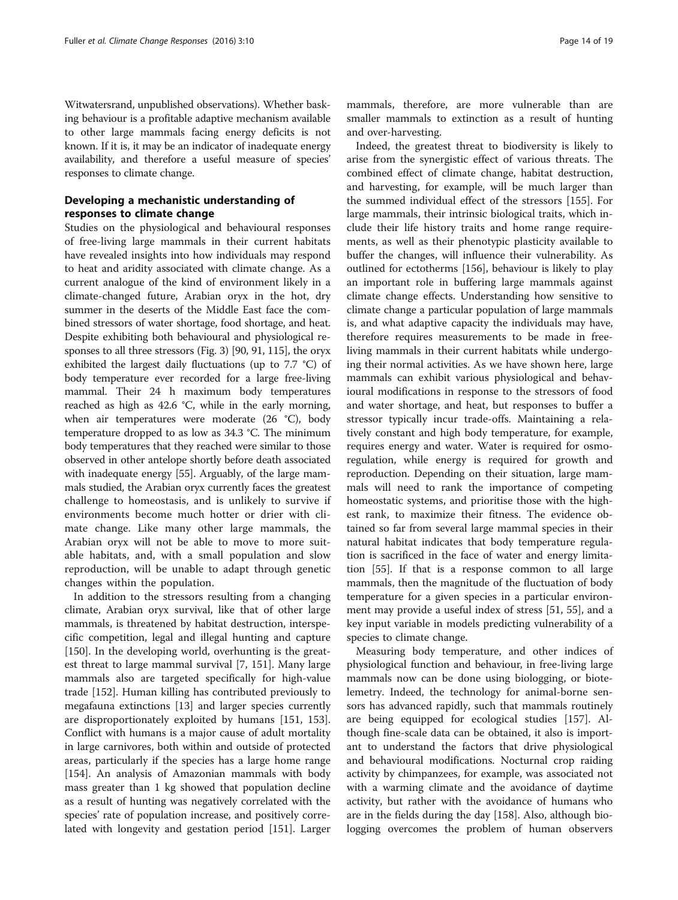Witwatersrand, unpublished observations). Whether basking behaviour is a profitable adaptive mechanism available to other large mammals facing energy deficits is not known. If it is, it may be an indicator of inadequate energy availability, and therefore a useful measure of species' responses to climate change.

# Developing a mechanistic understanding of responses to climate change

Studies on the physiological and behavioural responses of free-living large mammals in their current habitats have revealed insights into how individuals may respond to heat and aridity associated with climate change. As a current analogue of the kind of environment likely in a climate-changed future, Arabian oryx in the hot, dry summer in the deserts of the Middle East face the combined stressors of water shortage, food shortage, and heat. Despite exhibiting both behavioural and physiological responses to all three stressors (Fig. [3\)](#page-7-0) [[90](#page-16-0), [91,](#page-16-0) [115\]](#page-17-0), the oryx exhibited the largest daily fluctuations (up to 7.7 °C) of body temperature ever recorded for a large free-living mammal. Their 24 h maximum body temperatures reached as high as 42.6 °C, while in the early morning, when air temperatures were moderate (26 °C), body temperature dropped to as low as 34.3 °C. The minimum body temperatures that they reached were similar to those observed in other antelope shortly before death associated with inadequate energy [\[55\]](#page-16-0). Arguably, of the large mammals studied, the Arabian oryx currently faces the greatest challenge to homeostasis, and is unlikely to survive if environments become much hotter or drier with climate change. Like many other large mammals, the Arabian oryx will not be able to move to more suitable habitats, and, with a small population and slow reproduction, will be unable to adapt through genetic changes within the population.

In addition to the stressors resulting from a changing climate, Arabian oryx survival, like that of other large mammals, is threatened by habitat destruction, interspecific competition, legal and illegal hunting and capture [[150\]](#page-18-0). In the developing world, overhunting is the greatest threat to large mammal survival [[7](#page-15-0), [151\]](#page-18-0). Many large mammals also are targeted specifically for high-value trade [[152\]](#page-18-0). Human killing has contributed previously to megafauna extinctions [[13\]](#page-15-0) and larger species currently are disproportionately exploited by humans [\[151, 153](#page-18-0)]. Conflict with humans is a major cause of adult mortality in large carnivores, both within and outside of protected areas, particularly if the species has a large home range [[154\]](#page-18-0). An analysis of Amazonian mammals with body mass greater than 1 kg showed that population decline as a result of hunting was negatively correlated with the species' rate of population increase, and positively correlated with longevity and gestation period [\[151](#page-18-0)]. Larger

mammals, therefore, are more vulnerable than are smaller mammals to extinction as a result of hunting and over-harvesting.

Indeed, the greatest threat to biodiversity is likely to arise from the synergistic effect of various threats. The combined effect of climate change, habitat destruction, and harvesting, for example, will be much larger than the summed individual effect of the stressors [[155\]](#page-18-0). For large mammals, their intrinsic biological traits, which include their life history traits and home range requirements, as well as their phenotypic plasticity available to buffer the changes, will influence their vulnerability. As outlined for ectotherms [\[156\]](#page-18-0), behaviour is likely to play an important role in buffering large mammals against climate change effects. Understanding how sensitive to climate change a particular population of large mammals is, and what adaptive capacity the individuals may have, therefore requires measurements to be made in freeliving mammals in their current habitats while undergoing their normal activities. As we have shown here, large mammals can exhibit various physiological and behavioural modifications in response to the stressors of food and water shortage, and heat, but responses to buffer a stressor typically incur trade-offs. Maintaining a relatively constant and high body temperature, for example, requires energy and water. Water is required for osmoregulation, while energy is required for growth and reproduction. Depending on their situation, large mammals will need to rank the importance of competing homeostatic systems, and prioritise those with the highest rank, to maximize their fitness. The evidence obtained so far from several large mammal species in their natural habitat indicates that body temperature regulation is sacrificed in the face of water and energy limitation [[55\]](#page-16-0). If that is a response common to all large mammals, then the magnitude of the fluctuation of body temperature for a given species in a particular environment may provide a useful index of stress [[51, 55\]](#page-16-0), and a key input variable in models predicting vulnerability of a species to climate change.

Measuring body temperature, and other indices of physiological function and behaviour, in free-living large mammals now can be done using biologging, or biotelemetry. Indeed, the technology for animal-borne sensors has advanced rapidly, such that mammals routinely are being equipped for ecological studies [[157\]](#page-18-0). Although fine-scale data can be obtained, it also is important to understand the factors that drive physiological and behavioural modifications. Nocturnal crop raiding activity by chimpanzees, for example, was associated not with a warming climate and the avoidance of daytime activity, but rather with the avoidance of humans who are in the fields during the day [[158\]](#page-18-0). Also, although biologging overcomes the problem of human observers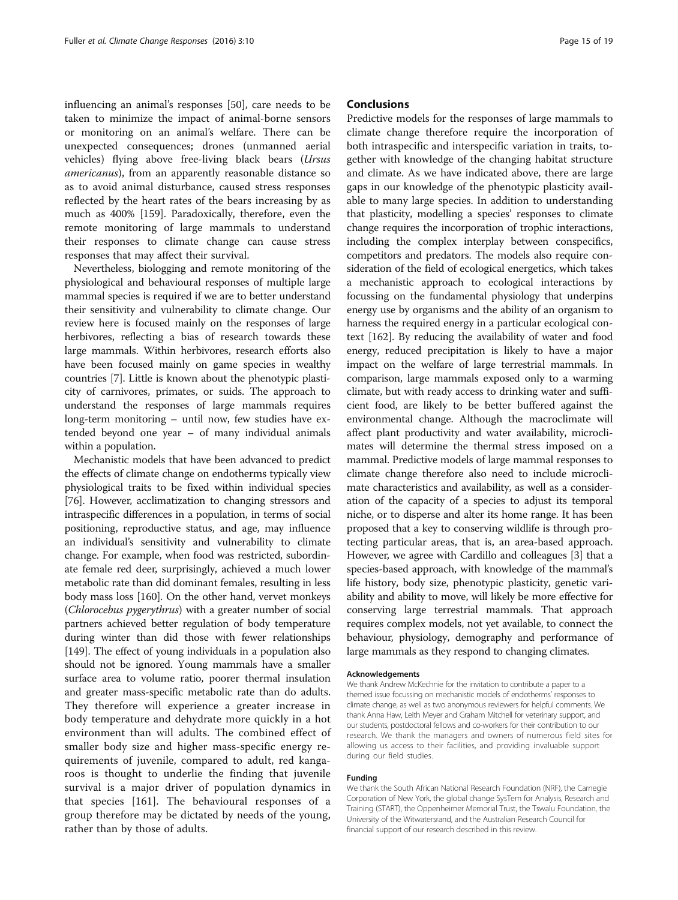influencing an animal's responses [[50](#page-16-0)], care needs to be taken to minimize the impact of animal-borne sensors or monitoring on an animal's welfare. There can be unexpected consequences; drones (unmanned aerial vehicles) flying above free-living black bears (Ursus americanus), from an apparently reasonable distance so as to avoid animal disturbance, caused stress responses reflected by the heart rates of the bears increasing by as much as 400% [\[159\]](#page-18-0). Paradoxically, therefore, even the remote monitoring of large mammals to understand their responses to climate change can cause stress responses that may affect their survival.

Nevertheless, biologging and remote monitoring of the physiological and behavioural responses of multiple large mammal species is required if we are to better understand their sensitivity and vulnerability to climate change. Our review here is focused mainly on the responses of large herbivores, reflecting a bias of research towards these large mammals. Within herbivores, research efforts also have been focused mainly on game species in wealthy countries [\[7\]](#page-15-0). Little is known about the phenotypic plasticity of carnivores, primates, or suids. The approach to understand the responses of large mammals requires long-term monitoring – until now, few studies have extended beyond one year – of many individual animals within a population.

Mechanistic models that have been advanced to predict the effects of climate change on endotherms typically view physiological traits to be fixed within individual species [[76](#page-16-0)]. However, acclimatization to changing stressors and intraspecific differences in a population, in terms of social positioning, reproductive status, and age, may influence an individual's sensitivity and vulnerability to climate change. For example, when food was restricted, subordinate female red deer, surprisingly, achieved a much lower metabolic rate than did dominant females, resulting in less body mass loss [\[160\]](#page-18-0). On the other hand, vervet monkeys (Chlorocebus pygerythrus) with a greater number of social partners achieved better regulation of body temperature during winter than did those with fewer relationships [[149](#page-18-0)]. The effect of young individuals in a population also should not be ignored. Young mammals have a smaller surface area to volume ratio, poorer thermal insulation and greater mass-specific metabolic rate than do adults. They therefore will experience a greater increase in body temperature and dehydrate more quickly in a hot environment than will adults. The combined effect of smaller body size and higher mass-specific energy requirements of juvenile, compared to adult, red kangaroos is thought to underlie the finding that juvenile survival is a major driver of population dynamics in that species [[161](#page-18-0)]. The behavioural responses of a group therefore may be dictated by needs of the young, rather than by those of adults.

# **Conclusions**

Predictive models for the responses of large mammals to climate change therefore require the incorporation of both intraspecific and interspecific variation in traits, together with knowledge of the changing habitat structure and climate. As we have indicated above, there are large gaps in our knowledge of the phenotypic plasticity available to many large species. In addition to understanding that plasticity, modelling a species' responses to climate change requires the incorporation of trophic interactions, including the complex interplay between conspecifics, competitors and predators. The models also require consideration of the field of ecological energetics, which takes a mechanistic approach to ecological interactions by focussing on the fundamental physiology that underpins energy use by organisms and the ability of an organism to harness the required energy in a particular ecological context [[162](#page-18-0)]. By reducing the availability of water and food energy, reduced precipitation is likely to have a major impact on the welfare of large terrestrial mammals. In comparison, large mammals exposed only to a warming climate, but with ready access to drinking water and sufficient food, are likely to be better buffered against the environmental change. Although the macroclimate will affect plant productivity and water availability, microclimates will determine the thermal stress imposed on a mammal. Predictive models of large mammal responses to climate change therefore also need to include microclimate characteristics and availability, as well as a consideration of the capacity of a species to adjust its temporal niche, or to disperse and alter its home range. It has been proposed that a key to conserving wildlife is through protecting particular areas, that is, an area-based approach. However, we agree with Cardillo and colleagues [\[3](#page-15-0)] that a species-based approach, with knowledge of the mammal's life history, body size, phenotypic plasticity, genetic variability and ability to move, will likely be more effective for conserving large terrestrial mammals. That approach requires complex models, not yet available, to connect the behaviour, physiology, demography and performance of large mammals as they respond to changing climates.

# Acknowledgements

We thank Andrew McKechnie for the invitation to contribute a paper to a themed issue focussing on mechanistic models of endotherms' responses to climate change, as well as two anonymous reviewers for helpful comments. We thank Anna Haw, Leith Meyer and Graham Mitchell for veterinary support, and our students, postdoctoral fellows and co-workers for their contribution to our research. We thank the managers and owners of numerous field sites for allowing us access to their facilities, and providing invaluable support during our field studies.

#### Funding

We thank the South African National Research Foundation (NRF), the Carnegie Corporation of New York, the global change SysTem for Analysis, Research and Training (START), the Oppenheimer Memorial Trust, the Tswalu Foundation, the University of the Witwatersrand, and the Australian Research Council for financial support of our research described in this review.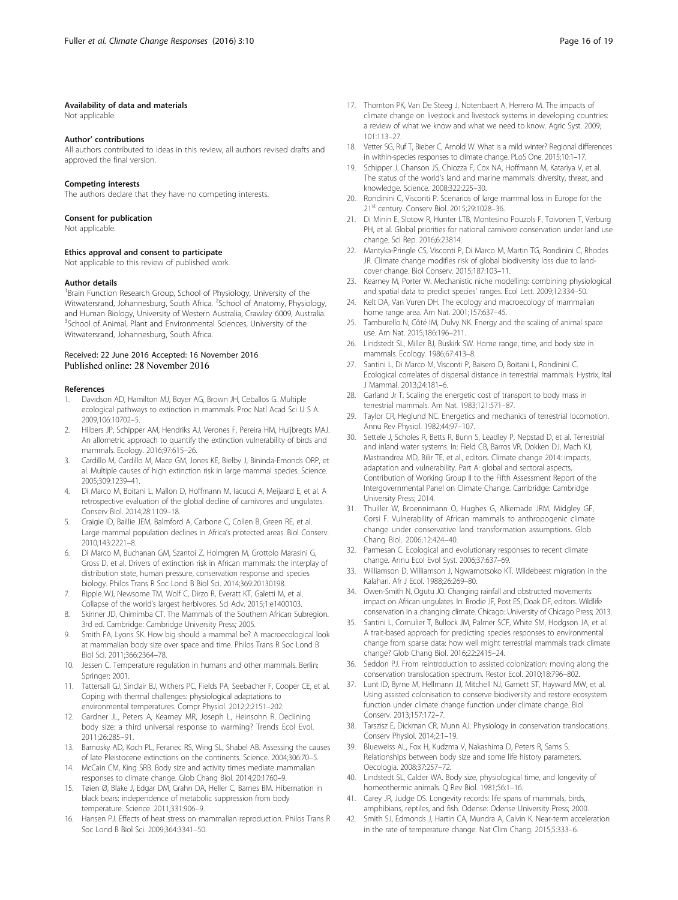## <span id="page-15-0"></span>Availability of data and materials

Not applicable.

#### Author' contributions

All authors contributed to ideas in this review, all authors revised drafts and approved the final version.

#### Competing interests

The authors declare that they have no competing interests.

#### Consent for publication

Not applicable.

## Ethics approval and consent to participate

Not applicable to this review of published work.

## Author details

<sup>1</sup> Brain Function Research Group, School of Physiology, University of the Witwatersrand, Johannesburg, South Africa. <sup>2</sup>School of Anatomy, Physiology, and Human Biology, University of Western Australia, Crawley 6009, Australia. <sup>3</sup>School of Animal, Plant and Environmental Sciences, University of the Witwatersrand, Johannesburg, South Africa.

# Received: 22 June 2016 Accepted: 16 November 2016 Published online: 28 November 2016

#### References

- 1. Davidson AD, Hamilton MJ, Boyer AG, Brown JH, Ceballos G. Multiple ecological pathways to extinction in mammals. Proc Natl Acad Sci U S A. 2009;106:10702–5.
- 2. Hilbers JP, Schipper AM, Hendriks AJ, Verones F, Pereira HM, Huijbregts MAJ. An allometric approach to quantify the extinction vulnerability of birds and mammals. Ecology. 2016;97:615–26.
- 3. Cardillo M, Cardillo M, Mace GM, Jones KE, Bielby J, Bininda-Emonds ORP, et al. Multiple causes of high extinction risk in large mammal species. Science. 2005;309:1239–41.
- 4. Di Marco M, Boitani L, Mallon D, Hoffmann M, Iacucci A, Meijaard E, et al. A retrospective evaluation of the global decline of carnivores and ungulates. Conserv Biol. 2014;28:1109–18.
- 5. Craigie ID, Baillie JEM, Balmford A, Carbone C, Collen B, Green RE, et al. Large mammal population declines in Africa's protected areas. Biol Conserv. 2010;143:2221–8.
- 6. Di Marco M, Buchanan GM, Szantoi Z, Holmgren M, Grottolo Marasini G, Gross D, et al. Drivers of extinction risk in African mammals: the interplay of distribution state, human pressure, conservation response and species biology. Philos Trans R Soc Lond B Biol Sci. 2014;369:20130198.
- Ripple WJ, Newsome TM, Wolf C, Dirzo R, Everatt KT, Galetti M, et al. Collapse of the world's largest herbivores. Sci Adv. 2015;1:e1400103.
- 8. Skinner JD, Chimimba CT. The Mammals of the Southern African Subregion. 3rd ed. Cambridge: Cambridge University Press; 2005.
- 9. Smith FA, Lyons SK. How big should a mammal be? A macroecological look at mammalian body size over space and time. Philos Trans R Soc Lond B Biol Sci. 2011;366:2364–78.
- 10. Jessen C. Temperature regulation in humans and other mammals. Berlin: Springer; 2001.
- 11. Tattersall GJ, Sinclair BJ, Withers PC, Fields PA, Seebacher F, Cooper CE, et al. Coping with thermal challenges: physiological adaptations to environmental temperatures. Compr Physiol. 2012;2:2151–202.
- 12. Gardner JL, Peters A, Kearney MR, Joseph L, Heinsohn R. Declining body size: a third universal response to warming? Trends Ecol Evol. 2011;26:285–91.
- 13. Barnosky AD, Koch PL, Feranec RS, Wing SL, Shabel AB. Assessing the causes of late Pleistocene extinctions on the continents. Science. 2004;306:70–5.
- 14. McCain CM, King SRB. Body size and activity times mediate mammalian responses to climate change. Glob Chang Biol. 2014;20:1760–9.
- 15. Tøien Ø, Blake J, Edgar DM, Grahn DA, Heller C, Barnes BM. Hibernation in black bears: independence of metabolic suppression from body temperature. Science. 2011;331:906–9.
- 16. Hansen PJ. Effects of heat stress on mammalian reproduction. Philos Trans R Soc Lond B Biol Sci. 2009;364:3341–50.
- 17. Thornton PK, Van De Steeg J, Notenbaert A, Herrero M. The impacts of climate change on livestock and livestock systems in developing countries: a review of what we know and what we need to know. Agric Syst. 2009; 101:113–27.
- 18. Vetter SG, Ruf T, Bieber C, Arnold W. What is a mild winter? Regional differences in within-species responses to climate change. PLoS One. 2015;10:1–17.
- 19. Schipper J, Chanson JS, Chiozza F, Cox NA, Hoffmann M, Katariya V, et al. The status of the world's land and marine mammals: diversity, threat, and knowledge. Science. 2008;322:225–30.
- 20. Rondinini C, Visconti P. Scenarios of large mammal loss in Europe for the 21st century. Conserv Biol. 2015;29:1028–36.
- 21. Di Minin E, Slotow R, Hunter LTB, Montesino Pouzols F, Toivonen T, Verburg PH, et al. Global priorities for national carnivore conservation under land use change. Sci Rep. 2016;6:23814.
- 22. Mantyka-Pringle CS, Visconti P, Di Marco M, Martin TG, Rondinini C, Rhodes JR. Climate change modifies risk of global biodiversity loss due to landcover change. Biol Conserv. 2015;187:103–11.
- 23. Kearney M, Porter W. Mechanistic niche modelling: combining physiological and spatial data to predict species' ranges. Ecol Lett. 2009;12:334–50.
- 24. Kelt DA, Van Vuren DH. The ecology and macroecology of mammalian home range area. Am Nat. 2001;157:637–45.
- 25. Tamburello N, Côté IM, Dulvy NK. Energy and the scaling of animal space use. Am Nat. 2015;186:196–211.
- 26. Lindstedt SL, Miller BJ, Buskirk SW. Home range, time, and body size in mammals. Ecology. 1986;67:413–8.
- 27. Santini L, Di Marco M, Visconti P, Baisero D, Boitani L, Rondinini C. Ecological correlates of dispersal distance in terrestrial mammals. Hystrix, Ital J Mammal. 2013;24:181–6.
- 28. Garland Jr T. Scaling the energetic cost of transport to body mass in terrestrial mammals. Am Nat. 1983;121:571–87.
- 29. Taylor CR, Heglund NC. Energetics and mechanics of terrestrial locomotion. Annu Rev Physiol. 1982;44:97–107.
- 30. Settele J, Scholes R, Betts R, Bunn S, Leadley P, Nepstad D, et al. Terrestrial and inland water systems. In: Field CB, Barros VR, Dokken DJ, Mach KJ, Mastrandrea MD, Bilir TE, et al., editors. Climate change 2014: impacts, adaptation and vulnerability. Part A: global and sectoral aspects, Contribution of Working Group II to the Fifth Assessment Report of the Intergovernmental Panel on Climate Change. Cambridge: Cambridge University Press; 2014.
- 31. Thuiller W, Broennimann O, Hughes G, Alkemade JRM, Midgley GF, Corsi F. Vulnerability of African mammals to anthropogenic climate change under conservative land transformation assumptions. Glob Chang Biol. 2006;12:424–40.
- 32. Parmesan C. Ecological and evolutionary responses to recent climate change. Annu Ecol Evol Syst. 2006;37:637–69.
- 33. Williamson D, Williamson J, Ngwamotsoko KT. Wildebeest migration in the Kalahari. Afr J Ecol. 1988;26:269–80.
- 34. Owen-Smith N, Ogutu JO. Changing rainfall and obstructed movements: impact on African ungulates. In: Brodie JF, Post ES, Doak DF, editors. Wildlife conservation in a changing climate. Chicago: University of Chicago Press; 2013.
- 35. Santini L, Cornulier T, Bullock JM, Palmer SCF, White SM, Hodgson JA, et al. A trait-based approach for predicting species responses to environmental change from sparse data: how well might terrestrial mammals track climate change? Glob Chang Biol. 2016;22:2415–24.
- 36. Seddon PJ. From reintroduction to assisted colonization: moving along the conservation translocation spectrum. Restor Ecol. 2010;18:796–802.
- 37. Lunt ID, Byrne M, Hellmann JJ, Mitchell NJ, Garnett ST, Hayward MW, et al. Using assisted colonisation to conserve biodiversity and restore ecosystem function under climate change function under climate change. Biol Conserv. 2013;157:172–7.
- 38. Tarszisz E, Dickman CR, Munn AJ. Physiology in conservation translocations. Conserv Physiol. 2014;2:1–19.
- 39. Blueweiss AL, Fox H, Kudzma V, Nakashima D, Peters R, Sams S. Relationships between body size and some life history parameters. Oecologia. 2008;37:257–72.
- 40. Lindstedt SL, Calder WA. Body size, physiological time, and longevity of homeothermic animals. Q Rev Biol. 1981;56:1–16.
- 41. Carey JR, Judge DS. Longevity records: life spans of mammals, birds, amphibians, reptiles, and fish. Odense: Odense University Press; 2000.
- 42. Smith SJ, Edmonds J, Hartin CA, Mundra A, Calvin K. Near-term acceleration in the rate of temperature change. Nat Clim Chang. 2015;5:333–6.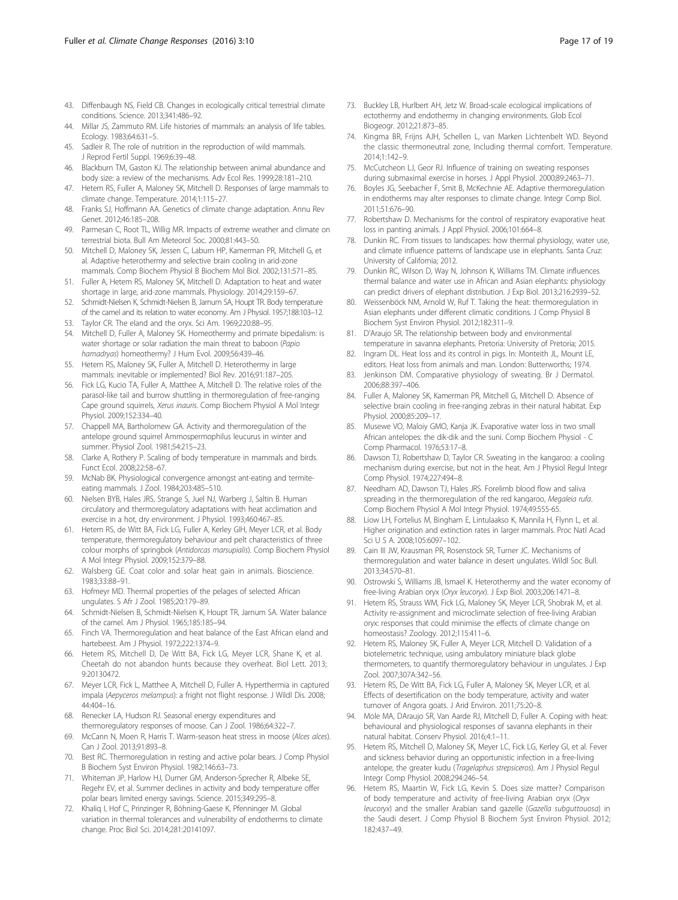- <span id="page-16-0"></span>43. Diffenbaugh NS, Field CB. Changes in ecologically critical terrestrial climate conditions. Science. 2013;341:486–92.
- 44. Millar JS, Zammuto RM. Life histories of mammals: an analysis of life tables. Ecology. 1983;64:631–5.
- 45. Sadleir R. The role of nutrition in the reproduction of wild mammals. J Reprod Fertil Suppl. 1969;6:39–48.
- 46. Blackburn TM, Gaston KJ. The relationship between animal abundance and body size: a review of the mechanisms. Adv Ecol Res. 1999;28:181–210.
- 47. Hetem RS, Fuller A, Maloney SK, Mitchell D. Responses of large mammals to climate change. Temperature. 2014;1:115–27.
- 48. Franks SJ, Hoffmann AA. Genetics of climate change adaptation. Annu Rev Genet. 2012;46:185–208.
- 49. Parmesan C, Root TL, Willig MR. Impacts of extreme weather and climate on terrestrial biota. Bull Am Meteorol Soc. 2000;81:443–50.
- 50. Mitchell D, Maloney SK, Jessen C, Laburn HP, Kamerman PR, Mitchell G, et al. Adaptive heterothermy and selective brain cooling in arid-zone mammals. Comp Biochem Physiol B Biochem Mol Biol. 2002;131:571–85.
- 51. Fuller A, Hetem RS, Maloney SK, Mitchell D. Adaptation to heat and water shortage in large, arid-zone mammals. Physiology. 2014;29:159–67.
- 52. Schmidt-Nielsen K, Schmidt-Nielsen B, Jarnum SA, Houpt TR. Body temperature of the camel and its relation to water economy. Am J Physiol. 1957;188:103–12.
- 53. Taylor CR. The eland and the oryx. Sci Am. 1969;220:88–95.
- 54. Mitchell D, Fuller A, Maloney SK. Homeothermy and primate bipedalism: is water shortage or solar radiation the main threat to baboon (Papio hamadryas) homeothermy? J Hum Evol. 2009;56:439–46.
- 55. Hetem RS, Maloney SK, Fuller A, Mitchell D. Heterothermy in large mammals: inevitable or implemented? Biol Rev. 2016;91:187–205.
- 56. Fick LG, Kucio TA, Fuller A, Matthee A, Mitchell D. The relative roles of the parasol-like tail and burrow shuttling in thermoregulation of free-ranging Cape ground squirrels, Xerus inauris. Comp Biochem Physiol A Mol Integr Physiol. 2009;152:334–40.
- 57. Chappell MA, Bartholomew GA. Activity and thermoregulation of the antelope ground squirrel Ammospermophilus leucurus in winter and summer. Physiol Zool. 1981;54:215–23.
- 58. Clarke A, Rothery P. Scaling of body temperature in mammals and birds. Funct Ecol. 2008;22:58–67.
- 59. McNab BK. Physiological convergence amongst ant-eating and termiteeating mammals. J Zool. 1984;203:485–510.
- 60. Nielsen BYB, Hales JRS, Strange S, Juel NJ, Warberg J, Saltin B. Human circulatory and thermoregulatory adaptations with heat acclimation and exercise in a hot, dry environment. J Physiol. 1993;460:467–85.
- 61. Hetem RS, de Witt BA, Fick LG, Fuller A, Kerley GIH, Meyer LCR, et al. Body temperature, thermoregulatory behaviour and pelt characteristics of three colour morphs of springbok (Antidorcas marsupialis). Comp Biochem Physiol A Mol Integr Physiol. 2009;152:379–88.
- 62. Walsberg GE. Coat color and solar heat gain in animals. Bioscience. 1983;33:88–91.
- 63. Hofmeyr MD. Thermal properties of the pelages of selected African ungulates. S Afr J Zool. 1985;20:179–89.
- 64. Schmidt-Nielsen B, Schmidt-Nielsen K, Houpt TR, Jarnum SA. Water balance of the camel. Am J Physiol. 1965;185:185–94.
- 65. Finch VA. Thermoregulation and heat balance of the East African eland and hartebeest. Am J Physiol. 1972;222:1374–9.
- 66. Hetem RS, Mitchell D, De Witt BA, Fick LG, Meyer LCR, Shane K, et al. Cheetah do not abandon hunts because they overheat. Biol Lett. 2013; 9:20130472.
- 67. Meyer LCR, Fick L, Matthee A, Mitchell D, Fuller A. Hyperthermia in captured impala (Aepyceros melampus): a fright not flight response. J Wildl Dis. 2008; 44:404–16.
- 68. Renecker LA, Hudson RJ. Seasonal energy expenditures and thermoregulatory responses of moose. Can J Zool. 1986;64:322–7.
- 69. McCann N, Moen R, Harris T. Warm-season heat stress in moose (Alces alces). Can J Zool. 2013;91:893–8.
- 70. Best RC. Thermoregulation in resting and active polar bears. J Comp Physiol B Biochem Syst Environ Physiol. 1982;146:63–73.
- 71. Whiteman JP, Harlow HJ, Durner GM, Anderson-Sprecher R, Albeke SE, Regehr EV, et al. Summer declines in activity and body temperature offer polar bears limited energy savings. Science. 2015;349:295–8.
- 72. Khaliq I, Hof C, Prinzinger R, Böhning-Gaese K, Pfenninger M. Global variation in thermal tolerances and vulnerability of endotherms to climate change. Proc Biol Sci. 2014;281:20141097.
- 73. Buckley LB, Hurlbert AH, Jetz W. Broad-scale ecological implications of ectothermy and endothermy in changing environments. Glob Ecol Biogeogr. 2012;21:873–85.
- 74. Kingma BR, Frijns AJH, Schellen L, van Marken Lichtenbelt WD. Beyond the classic thermoneutral zone, Including thermal comfort. Temperature. 2014;1:142–9.
- 75. McCutcheon LJ, Geor RJ. Influence of training on sweating responses during submaximal exercise in horses. J Appl Physiol. 2000;89:2463–71.
- 76. Boyles JG, Seebacher F, Smit B, McKechnie AE. Adaptive thermoregulation in endotherms may alter responses to climate change. Integr Comp Biol. 2011;51:676–90.
- 77. Robertshaw D. Mechanisms for the control of respiratory evaporative heat loss in panting animals. J Appl Physiol. 2006;101:664–8.
- 78. Dunkin RC. From tissues to landscapes: how thermal physiology, water use, and climate influence patterns of landscape use in elephants. Santa Cruz: University of California; 2012.
- 79. Dunkin RC, Wilson D, Way N, Johnson K, Williams TM. Climate influences thermal balance and water use in African and Asian elephants: physiology can predict drivers of elephant distribution. J Exp Biol. 2013;216:2939–52.
- 80. Weissenböck NM, Arnold W, Ruf T. Taking the heat: thermoregulation in Asian elephants under different climatic conditions. J Comp Physiol B Biochem Syst Environ Physiol. 2012;182:311–9.
- 81. D'Araujo SR. The relationship between body and environmental temperature in savanna elephants. Pretoria: University of Pretoria; 2015.
- Ingram DL. Heat loss and its control in pigs. In: Monteith JL, Mount LE, editors. Heat loss from animals and man. London: Butterworths; 1974.
- Jenkinson DM. Comparative physiology of sweating. Br J Dermatol. 2006;88:397–406.
- Fuller A, Maloney SK, Kamerman PR, Mitchell G, Mitchell D. Absence of selective brain cooling in free-ranging zebras in their natural habitat. Exp Physiol. 2000;85:209–17.
- 85. Musewe VO, Maloiy GMO, Kanja JK. Evaporative water loss in two small African antelopes: the dik-dik and the suni. Comp Biochem Physiol - C Comp Pharmacol. 1976;53:17–8.
- 86. Dawson TJ, Robertshaw D, Taylor CR. Sweating in the kangaroo: a cooling mechanism during exercise, but not in the heat. Am J Physiol Regul Integr Comp Physiol. 1974;227:494–8.
- 87. Needham AD, Dawson TJ, Hales JRS. Forelimb blood flow and saliva spreading in the thermoregulation of the red kangaroo, Megaleia rufa. Comp Biochem Physiol A Mol Integr Physiol. 1974;49:555-65.
- 88. Liow LH, Fortelius M, Bingham E, Lintulaakso K, Mannila H, Flynn L, et al. Higher origination and extinction rates in larger mammals. Proc Natl Acad Sci U S A. 2008;105:6097–102.
- 89. Cain III JW, Krausman PR, Rosenstock SR, Turner JC. Mechanisms of thermoregulation and water balance in desert ungulates. Wildl Soc Bull. 2013;34:570–81.
- Ostrowski S, Williams JB, Ismael K. Heterothermy and the water economy of free-living Arabian oryx (Oryx leucoryx). J Exp Biol. 2003;206:1471–8.
- 91. Hetem RS, Strauss WM, Fick LG, Maloney SK, Meyer LCR, Shobrak M, et al. Activity re-assignment and microclimate selection of free-living Arabian oryx: responses that could minimise the effects of climate change on homeostasis? Zoology. 2012;115:411–6.
- 92. Hetem RS, Maloney SK, Fuller A, Meyer LCR, Mitchell D. Validation of a biotelemetric technique, using ambulatory miniature black globe thermometers, to quantify thermoregulatory behaviour in ungulates. J Exp Zool. 2007;307A:342–56.
- 93. Hetem RS, De Witt BA, Fick LG, Fuller A, Maloney SK, Meyer LCR, et al. Effects of desertification on the body temperature, activity and water turnover of Angora goats. J Arid Environ. 2011;75:20–8.
- 94. Mole MA, DAraujo SR, Van Aarde RJ, Mitchell D, Fuller A. Coping with heat: behavioural and physiological responses of savanna elephants in their natural habitat. Conserv Physiol. 2016;4:1–11.
- 95. Hetem RS, Mitchell D, Maloney SK, Meyer LC, Fick LG, Kerley GI, et al. Fever and sickness behavior during an opportunistic infection in a free-living antelope, the greater kudu (Tragelaphus strepsiceros). Am J Physiol Regul Integr Comp Physiol. 2008;294:246–54.
- 96. Hetem RS, Maartin W, Fick LG, Kevin S. Does size matter? Comparison of body temperature and activity of free-living Arabian oryx (Oryx leucoryx) and the smaller Arabian sand gazelle (Gazella subguttouosa) in the Saudi desert. J Comp Physiol B Biochem Syst Environ Physiol. 2012; 182:437–49.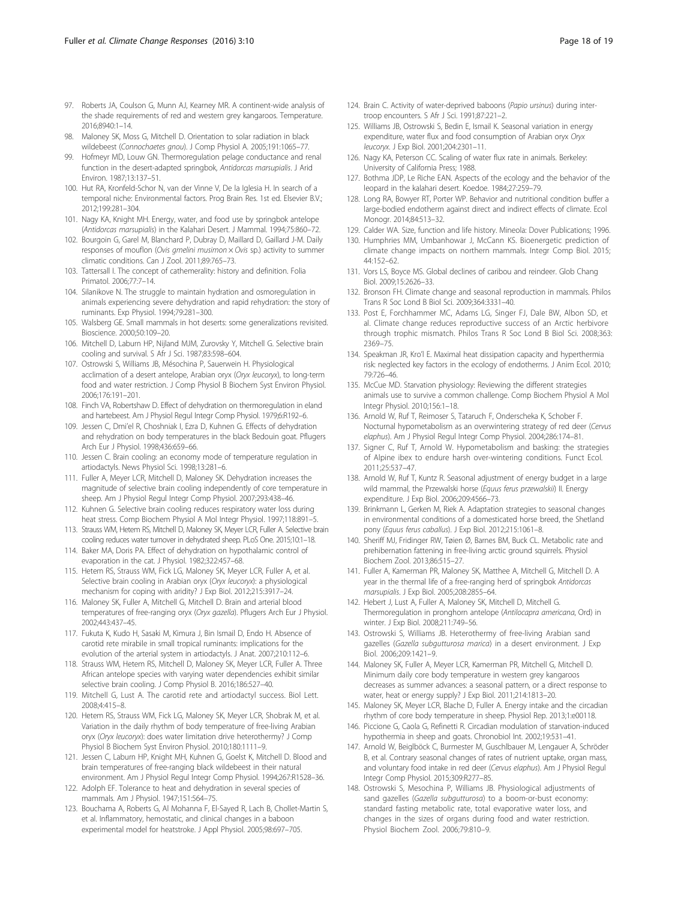- <span id="page-17-0"></span>97. Roberts JA, Coulson G, Munn AJ, Kearney MR. A continent-wide analysis of the shade requirements of red and western grey kangaroos. Temperature. 2016;8940:1–14.
- 98. Maloney SK, Moss G, Mitchell D. Orientation to solar radiation in black wildebeest (Connochaetes gnou). J Comp Physiol A. 2005;191:1065–77.
- 99. Hofmeyr MD, Louw GN. Thermoregulation pelage conductance and renal function in the desert-adapted springbok, Antidorcas marsupialis. J Arid Environ. 1987;13:137–51.
- 100. Hut RA, Kronfeld-Schor N, van der Vinne V, De la Iglesia H. In search of a temporal niche: Environmental factors. Prog Brain Res. 1st ed. Elsevier B.V.; 2012;199:281–304.
- 101. Nagy KA, Knight MH. Energy, water, and food use by springbok antelope (Antidorcas marsupialis) in the Kalahari Desert. J Mammal. 1994;75:860–72.
- 102. Bourgoin G, Garel M, Blanchard P, Dubray D, Maillard D, Gaillard J-M. Daily responses of mouflon (Ovis gmelini musimon × Ovis sp.) activity to summer climatic conditions. Can J Zool. 2011;89:765–73.
- 103. Tattersall I. The concept of cathemerality: history and definition. Folia Primatol. 2006;77:7–14.
- 104. Silanikove N. The struggle to maintain hydration and osmoregulation in animals experiencing severe dehydration and rapid rehydration: the story of ruminants. Exp Physiol. 1994;79:281–300.
- 105. Walsberg GE. Small mammals in hot deserts: some generalizations revisited. Bioscience. 2000;50:109–20.
- 106. Mitchell D, Laburn HP, Nijland MJM, Zurovsky Y, Mitchell G. Selective brain cooling and survival. S Afr J Sci. 1987;83:598–604.
- 107. Ostrowski S, Williams JB, Mésochina P, Sauerwein H. Physiological acclimation of a desert antelope, Arabian oryx (Oryx leucoryx), to long-term food and water restriction. J Comp Physiol B Biochem Syst Environ Physiol. 2006;176:191–201.
- 108. Finch VA, Robertshaw D. Effect of dehydration on thermoregulation in eland and hartebeest. Am J Physiol Regul Integr Comp Physiol. 1979;6:R192–6.
- 109. Jessen C, Dmi'el R, Choshniak I, Ezra D, Kuhnen G. Effects of dehydration and rehydration on body temperatures in the black Bedouin goat. Pflugers Arch Eur J Physiol. 1998;436:659–66.
- 110. Jessen C. Brain cooling: an economy mode of temperature regulation in artiodactyls. News Physiol Sci. 1998;13:281–6.
- 111. Fuller A, Meyer LCR, Mitchell D, Maloney SK. Dehydration increases the magnitude of selective brain cooling independently of core temperature in sheep. Am J Physiol Regul Integr Comp Physiol. 2007;293:438–46.
- 112. Kuhnen G. Selective brain cooling reduces respiratory water loss during heat stress. Comp Biochem Physiol A Mol Integr Physiol. 1997;118:891–5.
- 113. Strauss WM, Hetem RS, Mitchell D, Maloney SK, Meyer LCR, Fuller A. Selective brain cooling reduces water turnover in dehydrated sheep. PLoS One. 2015;10:1–18.
- 114. Baker MA, Doris PA. Effect of dehydration on hypothalamic control of evaporation in the cat. J Physiol. 1982;322:457–68.
- 115. Hetem RS, Strauss WM, Fick LG, Maloney SK, Meyer LCR, Fuller A, et al. Selective brain cooling in Arabian oryx (Oryx leucoryx): a physiological mechanism for coping with aridity? J Exp Biol. 2012;215:3917–24.
- 116. Maloney SK, Fuller A, Mitchell G, Mitchell D. Brain and arterial blood temperatures of free-ranging oryx (Oryx gazella). Pflugers Arch Eur J Physiol. 2002;443:437–45.
- 117. Fukuta K, Kudo H, Sasaki M, Kimura J, Bin Ismail D, Endo H. Absence of carotid rete mirabile in small tropical ruminants: implications for the evolution of the arterial system in artiodactyls. J Anat. 2007;210:112–6.
- 118. Strauss WM, Hetem RS, Mitchell D, Maloney SK, Meyer LCR, Fuller A. Three African antelope species with varying water dependencies exhibit similar selective brain cooling. J Comp Physiol B. 2016;186:527–40.
- 119. Mitchell G, Lust A. The carotid rete and artiodactyl success. Biol Lett. 2008;4:415–8.
- 120. Hetem RS, Strauss WM, Fick LG, Maloney SK, Meyer LCR, Shobrak M, et al. Variation in the daily rhythm of body temperature of free-living Arabian oryx (Oryx leucoryx): does water limitation drive heterothermy? J Comp Physiol B Biochem Syst Environ Physiol. 2010;180:1111–9.
- 121. Jessen C, Laburn HP, Knight MH, Kuhnen G, Goelst K, Mitchell D. Blood and brain temperatures of free-ranging black wildebeest in their natural environment. Am J Physiol Regul Integr Comp Physiol. 1994;267:R1528–36.
- 122. Adolph EF. Tolerance to heat and dehydration in several species of mammals. Am J Physiol. 1947;151:564–75.
- 123. Bouchama A, Roberts G, Al Mohanna F, El-Sayed R, Lach B, Chollet-Martin S, et al. Inflammatory, hemostatic, and clinical changes in a baboon experimental model for heatstroke. J Appl Physiol. 2005;98:697–705.
- 124. Brain C. Activity of water-deprived baboons (Papio ursinus) during intertroop encounters. S Afr J Sci. 1991;87:221–2.
- 125. Williams JB, Ostrowski S, Bedin E, Ismail K. Seasonal variation in energy expenditure, water flux and food consumption of Arabian oryx Oryx leucoryx. J Exp Biol. 2001;204:2301–11.
- 126. Nagy KA, Peterson CC. Scaling of water flux rate in animals. Berkeley: University of California Press; 1988.
- 127. Bothma JDP, Le Riche EAN. Aspects of the ecology and the behavior of the leopard in the kalahari desert. Koedoe. 1984;27:259–79.
- 128. Long RA, Bowyer RT, Porter WP. Behavior and nutritional condition buffer a large-bodied endotherm against direct and indirect effects of climate. Ecol Monogr. 2014;84:513–32.
- 129. Calder WA. Size, function and life history. Mineola: Dover Publications; 1996.
- 130. Humphries MM, Umbanhowar J, McCann KS. Bioenergetic prediction of climate change impacts on northern mammals. Integr Comp Biol. 2015; 44:152–62.
- 131. Vors LS, Boyce MS. Global declines of caribou and reindeer. Glob Chang Biol. 2009;15:2626–33.
- 132. Bronson FH. Climate change and seasonal reproduction in mammals. Philos Trans R Soc Lond B Biol Sci. 2009;364:3331–40.
- 133. Post E, Forchhammer MC, Adams LG, Singer FJ, Dale BW, Albon SD, et al. Climate change reduces reproductive success of an Arctic herbivore through trophic mismatch. Philos Trans R Soc Lond B Biol Sci. 2008;363: 2369–75.
- 134. Speakman JR, Kro'l E. Maximal heat dissipation capacity and hyperthermia risk: neglected key factors in the ecology of endotherms. J Anim Ecol. 2010; 79:726–46.
- 135. McCue MD. Starvation physiology: Reviewing the different strategies animals use to survive a common challenge. Comp Biochem Physiol A Mol Integr Physiol. 2010;156:1–18.
- 136. Arnold W, Ruf T, Reimoser S, Tataruch F, Onderscheka K, Schober F. Nocturnal hypometabolism as an overwintering strategy of red deer (Cervus elaphus). Am J Physiol Regul Integr Comp Physiol. 2004;286:174–81.
- 137. Signer C, Ruf T, Arnold W. Hypometabolism and basking: the strategies of Alpine ibex to endure harsh over-wintering conditions. Funct Ecol. 2011;25:537–47.
- 138. Arnold W, Ruf T, Kuntz R. Seasonal adjustment of energy budget in a large wild mammal, the Przewalski horse (Equus ferus przewalskii) II. Energy expenditure. J Exp Biol. 2006;209:4566–73.
- 139. Brinkmann L, Gerken M, Riek A. Adaptation strategies to seasonal changes in environmental conditions of a domesticated horse breed, the Shetland pony (Equus ferus caballus). J Exp Biol. 2012;215:1061–8.
- 140. Sheriff MJ, Fridinger RW, Tøien Ø, Barnes BM, Buck CL. Metabolic rate and prehibernation fattening in free-living arctic ground squirrels. Physiol Biochem Zool. 2013;86:515–27.
- 141. Fuller A, Kamerman PR, Maloney SK, Matthee A, Mitchell G, Mitchell D. A year in the thermal life of a free-ranging herd of springbok Antidorcas marsupialis. J Exp Biol. 2005;208:2855–64.
- 142. Hebert J, Lust A, Fuller A, Maloney SK, Mitchell D, Mitchell G. Thermoregulation in pronghorn antelope (Antilocapra americana, Ord) in winter. J Exp Biol. 2008;211:749–56.
- 143. Ostrowski S, Williams JB. Heterothermy of free-living Arabian sand gazelles (Gazella subgutturosa marica) in a desert environment. J Exp Biol. 2006;209:1421–9.
- 144. Maloney SK, Fuller A, Meyer LCR, Kamerman PR, Mitchell G, Mitchell D. Minimum daily core body temperature in western grey kangaroos decreases as summer advances: a seasonal pattern, or a direct response to water, heat or energy supply? J Exp Biol. 2011;214:1813–20.
- 145. Maloney SK, Meyer LCR, Blache D, Fuller A. Energy intake and the circadian rhythm of core body temperature in sheep. Physiol Rep. 2013;1:e00118.
- 146. Piccione G, Caola G, Refinetti R. Circadian modulation of starvation-induced hypothermia in sheep and goats. Chronobiol Int. 2002;19:531–41.
- 147. Arnold W, Beiglböck C, Burmester M, Guschlbauer M, Lengauer A, Schröder B, et al. Contrary seasonal changes of rates of nutrient uptake, organ mass, and voluntary food intake in red deer (Cervus elaphus). Am J Physiol Regul Integr Comp Physiol. 2015;309:R277–85.
- 148. Ostrowski S, Mesochina P, Williams JB. Physiological adjustments of sand gazelles (Gazella subgutturosa) to a boom-or-bust economy: standard fasting metabolic rate, total evaporative water loss, and changes in the sizes of organs during food and water restriction. Physiol Biochem Zool. 2006;79:810–9.